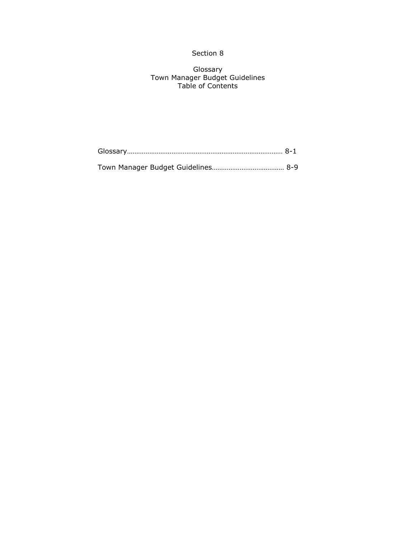## Section 8

Glossary Town Manager Budget Guidelines Table of Contents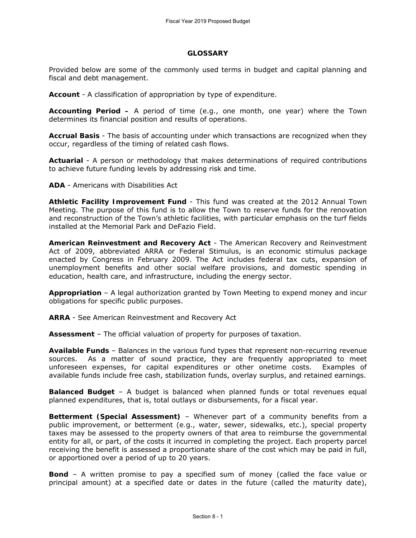#### **GLOSSARY**

Provided below are some of the commonly used terms in budget and capital planning and fiscal and debt management.

**Account** - A classification of appropriation by type of expenditure.

**Accounting Period –** A period of time (e.g., one month, one year) where the Town determines its financial position and results of operations.

**Accrual Basis** - The basis of accounting under which transactions are recognized when they occur, regardless of the timing of related cash flows.

**Actuarial** - A person or methodology that makes determinations of required contributions to achieve future funding levels by addressing risk and time.

**ADA** - Americans with Disabilities Act

**Athletic Facility Improvement Fund** - This fund was created at the 2012 Annual Town Meeting. The purpose of this fund is to allow the Town to reserve funds for the renovation and reconstruction of the Town's athletic facilities, with particular emphasis on the turf fields installed at the Memorial Park and DeFazio Field.

**American Reinvestment and Recovery Act** - The American Recovery and Reinvestment Act of 2009, abbreviated ARRA or Federal Stimulus, is an economic stimulus package enacted by Congress in February 2009. The Act includes federal tax cuts, expansion of unemployment benefits and other social welfare provisions, and domestic spending in education, health care, and infrastructure, including the energy sector.

**Appropriation** – A legal authorization granted by Town Meeting to expend money and incur obligations for specific public purposes.

**ARRA** - See American Reinvestment and Recovery Act

**Assessment** – The official valuation of property for purposes of taxation.

**Available Funds** – Balances in the various fund types that represent non-recurring revenue sources. As a matter of sound practice, they are frequently appropriated to meet unforeseen expenses, for capital expenditures or other onetime costs. Examples of available funds include free cash, stabilization funds, overlay surplus, and retained earnings.

**Balanced Budget** – A budget is balanced when planned funds or total revenues equal planned expenditures, that is, total outlays or disbursements, for a fiscal year.

**Betterment (Special Assessment)** – Whenever part of a community benefits from a public improvement, or betterment (*e.g*., water, sewer, sidewalks, etc.), special property taxes may be assessed to the property owners of that area to reimburse the governmental entity for all, or part, of the costs it incurred in completing the project. Each property parcel receiving the benefit is assessed a proportionate share of the cost which may be paid in full, or apportioned over a period of up to 20 years.

**Bond** – A written promise to pay a specified sum of money (called the face value or principal amount) at a specified date or dates in the future (called the maturity date),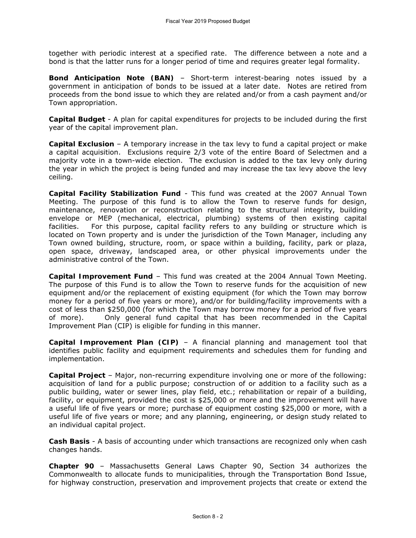together with periodic interest at a specified rate. The difference between a note and a bond is that the latter runs for a longer period of time and requires greater legal formality.

**Bond Anticipation Note (BAN)** – Short-term interest-bearing notes issued by a government in anticipation of bonds to be issued at a later date. Notes are retired from proceeds from the bond issue to which they are related and/or from a cash payment and/or Town appropriation.

**Capital Budget** - A plan for capital expenditures for projects to be included during the first year of the capital improvement plan.

**Capital Exclusion** – A *temporary* increase in the tax levy to fund a capital project or make a capital acquisition. Exclusions require 2/3 vote of the entire Board of Selectmen and a majority vote in a town-wide election. The exclusion is added to the tax levy only during the year in which the project is being funded and may increase the tax levy above the levy ceiling.

**Capital Facility Stabilization Fund** - This fund was created at the 2007 Annual Town Meeting. The purpose of this fund is to allow the Town to reserve funds for design, maintenance, renovation or reconstruction relating to the structural integrity, building envelope or MEP (mechanical, electrical, plumbing) systems of then existing capital facilities. For this purpose, capital facility refers to any building or structure which is located on Town property and is under the jurisdiction of the Town Manager, including any Town owned building, structure, room, or space within a building, facility, park or plaza, open space, driveway, landscaped area, or other physical improvements under the administrative control of the Town.

**Capital Improvement Fund** – This fund was created at the 2004 Annual Town Meeting. The purpose of this Fund is to allow the Town to reserve funds for the acquisition of new equipment and/or the replacement of existing equipment (for which the Town may borrow money for a period of five years or more), and/or for building/facility improvements with a cost of less than \$250,000 (for which the Town may borrow money for a period of five years of more). Only general fund capital that has been recommended in the Capital Improvement Plan (CIP) is eligible for funding in this manner.

**Capital Improvement Plan (CIP)** – A financial planning and management tool that identifies public facility and equipment requirements and schedules them for funding and implementation.

**Capital Project** – Major, non-recurring expenditure involving one or more of the following: acquisition of land for a public purpose; construction of or addition to a facility such as a public building, water or sewer lines, play field, etc.; rehabilitation or repair of a building, facility, or equipment, provided the cost is \$25,000 or more and the improvement will have a useful life of five years or more; purchase of equipment costing \$25,000 or more, with a useful life of five years or more; and any planning, engineering, or design study related to an individual capital project.

**Cash Basis** - A basis of accounting under which transactions are recognized only when cash changes hands.

**Chapter 90** – Massachusetts General Laws Chapter 90, Section 34 authorizes the Commonwealth to allocate funds to municipalities, through the Transportation Bond Issue, for highway construction, preservation and improvement projects that create or extend the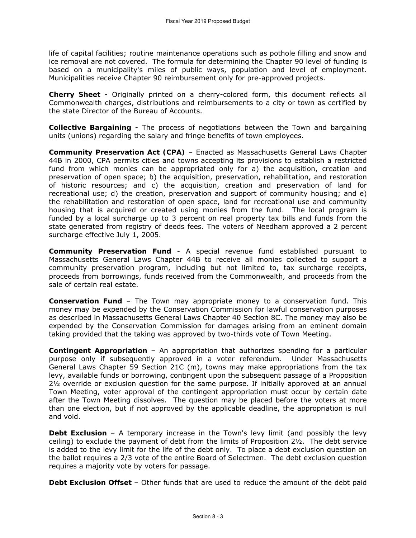life of capital facilities; routine maintenance operations such as pothole filling and snow and ice removal are not covered. The formula for determining the Chapter 90 level of funding is based on a municipality's miles of public ways, population and level of employment. Municipalities receive Chapter 90 reimbursement only for pre-approved projects.

**Cherry Sheet** - Originally printed on a cherry-colored form, this document reflects all Commonwealth charges, distributions and reimbursements to a city or town as certified by the state Director of the Bureau of Accounts.

**Collective Bargaining** - The process of negotiations between the Town and bargaining units (unions) regarding the salary and fringe benefits of town employees.

**Community Preservation Act (CPA)** – Enacted as Massachusetts General Laws Chapter 44B in 2000, CPA permits cities and towns accepting its provisions to establish a restricted fund from which monies can be appropriated only for a) the acquisition, creation and preservation of open space; b) the acquisition, preservation, rehabilitation, and restoration of historic resources; and c) the acquisition, creation and preservation of land for recreational use; d) the creation, preservation and support of community housing; and e) the rehabilitation and restoration of open space, land for recreational use and community housing that is acquired or created using monies from the fund. The local program is funded by a local surcharge up to 3 percent on real property tax bills and funds from the state generated from registry of deeds fees. The voters of Needham approved a 2 percent surcharge effective July 1, 2005.

**Community Preservation Fund** - A special revenue fund established pursuant to Massachusetts General Laws Chapter 44B to receive all monies collected to support a community preservation program, including but not limited to, tax surcharge receipts, proceeds from borrowings, funds received from the Commonwealth, and proceeds from the sale of certain real estate.

**Conservation Fund** – The Town may appropriate money to a conservation fund. This money may be expended by the Conservation Commission for lawful conservation purposes as described in Massachusetts General Laws Chapter 40 Section 8C. The money may also be expended by the Conservation Commission for damages arising from an eminent domain taking provided that the taking was approved by two-thirds vote of Town Meeting.

**Contingent Appropriation** – An appropriation that authorizes spending for a particular purpose only if subsequently approved in a voter referendum. Under Massachusetts General Laws Chapter 59 Section 21C (m), towns may make appropriations from the tax levy, available funds or borrowing, contingent upon the subsequent passage of a Proposition 2½ override or exclusion question for the same purpose. If initially approved at an annual Town Meeting, voter approval of the contingent appropriation must occur by certain date after the Town Meeting dissolves. The question may be placed before the voters at more than one election, but if not approved by the applicable deadline, the appropriation is null and void.

**Debt Exclusion** – A *temporary* increase in the Town's levy limit (and possibly the levy ceiling) to exclude the payment of debt from the limits of Proposition 2½. The debt service is added to the levy limit for the life of the debt only. To place a debt exclusion question on the ballot requires a 2/3 vote of the entire Board of Selectmen. The debt exclusion question requires a majority vote by voters for passage.

**Debt Exclusion Offset** – Other funds that are used to reduce the amount of the debt paid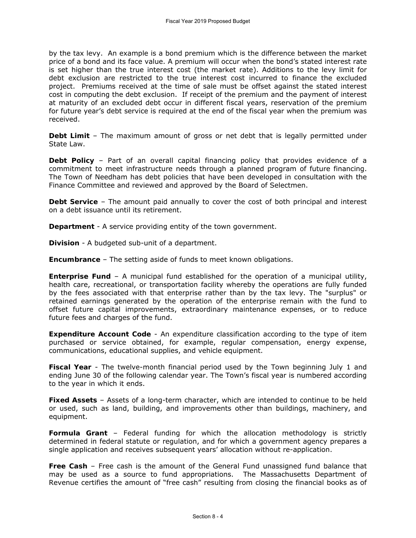by the tax levy. An example is a bond premium which is the difference between the market price of a bond and its face value. A premium will occur when the bond's stated interest rate is set higher than the true interest cost (the market rate). Additions to the levy limit for debt exclusion are restricted to the true interest cost incurred to finance the excluded project. Premiums received at the time of sale must be offset against the stated interest cost in computing the debt exclusion. If receipt of the premium and the payment of interest at maturity of an excluded debt occur in different fiscal years, reservation of the premium for future year's debt service is required at the end of the fiscal year when the premium was received.

**Debt Limit** – The maximum amount of gross or net debt that is legally permitted under State Law.

**Debt Policy** – Part of an overall capital financing policy that provides evidence of a commitment to meet infrastructure needs through a planned program of future financing. The Town of Needham has debt policies that have been developed in consultation with the Finance Committee and reviewed and approved by the Board of Selectmen.

**Debt Service** – The amount paid annually to cover the cost of both principal and interest on a debt issuance until its retirement.

**Department** - A service providing entity of the town government.

**Division** - A budgeted sub-unit of a department.

**Encumbrance** – The setting aside of funds to meet known obligations.

**Enterprise Fund** – A municipal fund established for the operation of a municipal utility, health care, recreational, or transportation facility whereby the operations are fully funded by the fees associated with that enterprise rather than by the tax levy. The "surplus" or retained earnings generated by the operation of the enterprise remain with the fund to offset future capital improvements, extraordinary maintenance expenses, or to reduce future fees and charges of the fund.

**Expenditure Account Code** - An expenditure classification according to the type of item purchased or service obtained, for example, regular compensation, energy expense, communications, educational supplies, and vehicle equipment.

**Fiscal Year** - The twelve-month financial period used by the Town beginning July 1 and ending June 30 of the following calendar year. The Town's fiscal year is numbered according to the year in which it ends.

**Fixed Assets** – Assets of a long-term character, which are intended to continue to be held or used, such as land, building, and improvements other than buildings, machinery, and equipment.

**Formula Grant** – Federal funding for which the allocation methodology is strictly determined in federal statute or regulation, and for which a government agency prepares a single application and receives subsequent years' allocation without re-application.

**Free Cash** – Free cash is the amount of the General Fund unassigned fund balance that may be used as a source to fund appropriations. The Massachusetts Department of Revenue certifies the amount of "free cash" resulting from closing the financial books as of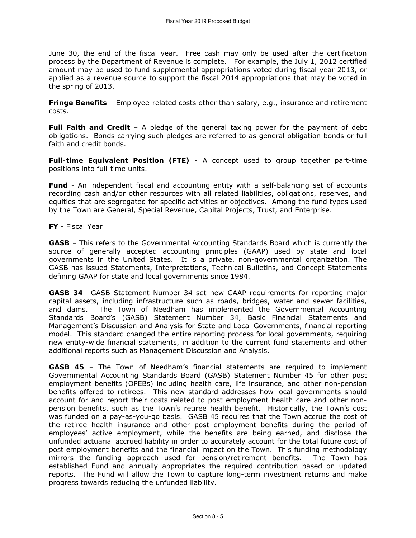June 30, the end of the fiscal year. Free cash may only be used after the certification process by the Department of Revenue is complete. For example, the July 1, 2012 certified amount may be used to fund supplemental appropriations voted during fiscal year 2013, or applied as a revenue source to support the fiscal 2014 appropriations that may be voted in the spring of 2013.

**Fringe Benefits** – Employee-related costs other than salary, e.g., insurance and retirement costs.

**Full Faith and Credit** – A pledge of the general taxing power for the payment of debt obligations. Bonds carrying such pledges are referred to as general obligation bonds or full faith and credit bonds.

**Full-time Equivalent Position (FTE)** - A concept used to group together part-time positions into full-time units.

**Fund** - An independent fiscal and accounting entity with a self-balancing set of accounts recording cash and/or other resources with all related liabilities, obligations, reserves, and equities that are segregated for specific activities or objectives. Among the fund types used by the Town are General, Special Revenue, Capital Projects, Trust, and Enterprise.

**FY** - Fiscal Year

**GASB** – This refers to the Governmental Accounting Standards Board which is currently the source of generally accepted accounting principles (GAAP) used by state and local governments in the United States. It is a private, non-governmental organization. The GASB has issued Statements, Interpretations, Technical Bulletins, and Concept Statements defining GAAP for state and local governments since 1984.

**GASB 34** –GASB Statement Number 34 set new GAAP requirements for reporting major capital assets, including infrastructure such as roads, bridges, water and sewer facilities, and dams. The Town of Needham has implemented the Governmental Accounting Standards Board's (GASB) Statement Number 34, Basic Financial Statements and Management's Discussion and Analysis for State and Local Governments, financial reporting model. This standard changed the entire reporting process for local governments, requiring new entity-wide financial statements, in addition to the current fund statements and other additional reports such as Management Discussion and Analysis.

**GASB 45** – The Town of Needham's financial statements are required to implement Governmental Accounting Standards Board (GASB) Statement Number 45 for other post employment benefits (OPEBs) including health care, life insurance, and other non-pension benefits offered to retirees. This new standard addresses how local governments should account for and report their costs related to post employment health care and other nonpension benefits, such as the Town's retiree health benefit. Historically, the Town's cost was funded on a pay-as-you-go basis. GASB 45 requires that the Town accrue the cost of the retiree health insurance and other post employment benefits during the period of employees' active employment, while the benefits are being earned, and disclose the unfunded actuarial accrued liability in order to accurately account for the total future cost of post employment benefits and the financial impact on the Town. This funding methodology mirrors the funding approach used for pension/retirement benefits. The Town has established Fund and annually appropriates the required contribution based on updated reports. The Fund will allow the Town to capture long-term investment returns and make progress towards reducing the unfunded liability.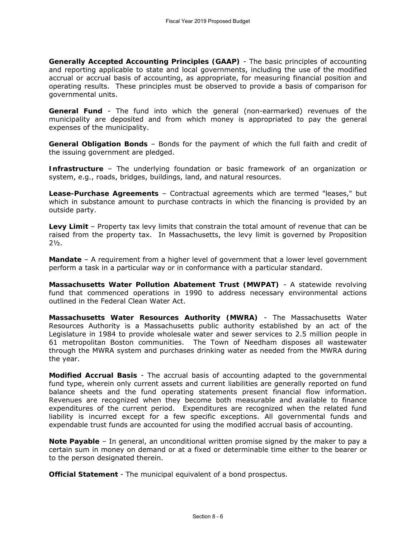**Generally Accepted Accounting Principles (GAAP)** - The basic principles of accounting and reporting applicable to state and local governments, including the use of the modified accrual or accrual basis of accounting, as appropriate, for measuring financial position and operating results. These principles must be observed to provide a basis of comparison for governmental units.

**General Fund** - The fund into which the general (non-earmarked) revenues of the municipality are deposited and from which money is appropriated to pay the general expenses of the municipality.

**General Obligation Bonds** – Bonds for the payment of which the full faith and credit of the issuing government are pledged.

**Infrastructure** – The underlying foundation or basic framework of an organization or system, e.g., roads, bridges, buildings, land, and natural resources.

**Lease-Purchase Agreements** – Contractual agreements which are termed "leases," but which in substance amount to purchase contracts in which the financing is provided by an outside party.

**Levy Limit** – Property tax levy limits that constrain the total amount of revenue that can be raised from the property tax. In Massachusetts, the levy limit is governed by Proposition  $2\frac{1}{2}$ .

**Mandate** – A requirement from a higher level of government that a lower level government perform a task in a particular way or in conformance with a particular standard.

**Massachusetts Water Pollution Abatement Trust (MWPAT)** - A statewide revolving fund that commenced operations in 1990 to address necessary environmental actions outlined in the Federal Clean Water Act.

**Massachusetts Water Resources Authority (MWRA)** - The Massachusetts Water Resources Authority is a Massachusetts public authority established by an act of the Legislature in 1984 to provide wholesale water and sewer services to 2.5 million people in 61 metropolitan Boston communities. The Town of Needham disposes all wastewater through the MWRA system and purchases drinking water as needed from the MWRA during the year.

**Modified Accrual Basis** - The accrual basis of accounting adapted to the governmental fund type, wherein only current assets and current liabilities are generally reported on fund balance sheets and the fund operating statements present financial flow information. Revenues are recognized when they become both measurable and available to finance expenditures of the current period. Expenditures are recognized when the related fund liability is incurred except for a few specific exceptions. All governmental funds and expendable trust funds are accounted for using the modified accrual basis of accounting.

**Note Payable** – In general, an unconditional written promise signed by the maker to pay a certain sum in money on demand or at a fixed or determinable time either to the bearer or to the person designated therein.

**Official Statement** - The municipal equivalent of a bond prospectus.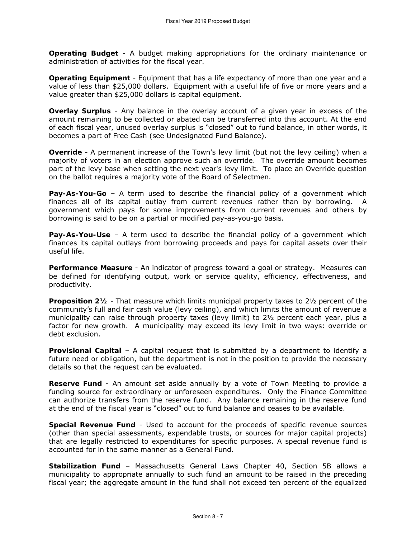**Operating Budget** - A budget making appropriations for the ordinary maintenance or administration of activities for the fiscal year.

**Operating Equipment** - Equipment that has a life expectancy of more than one year and a value of less than \$25,000 dollars. Equipment with a useful life of five or more years and a value greater than \$25,000 dollars is capital equipment.

**Overlay Surplus** - Any balance in the overlay account of a given year in excess of the amount remaining to be collected or abated can be transferred into this account. At the end of each fiscal year, unused overlay surplus is "closed" out to fund balance, in other words, it becomes a part of Free Cash (see Undesignated Fund Balance).

**Override** - A permanent increase of the Town's levy limit (but not the levy ceiling) when a majority of voters in an election approve such an override. The override amount becomes part of the levy base when setting the next year's levy limit. To place an Override question on the ballot requires a majority vote of the Board of Selectmen.

**Pay-As-You-Go** – A term used to describe the financial policy of a government which finances all of its capital outlay from current revenues rather than by borrowing. A government which pays for some improvements from current revenues and others by borrowing is said to be on a partial or modified pay-as-you-go basis.

**Pay-As-You-Use** – A term used to describe the financial policy of a government which finances its capital outlays from borrowing proceeds and pays for capital assets over their useful life.

**Performance Measure** - An indicator of progress toward a goal or strategy. Measures can be defined for identifying output, work or service quality, efficiency, effectiveness, and productivity.

**Proposition 2½** - That measure which limits municipal property taxes to 2½ percent of the community's full and fair cash value (levy ceiling), and which limits the amount of revenue a municipality can raise through property taxes (levy limit) to 2½ percent each year, plus a factor for new growth. A municipality may exceed its levy limit in two ways: override or debt exclusion.

**Provisional Capital** – A capital request that is submitted by a department to identify a future need or obligation, but the department is not in the position to provide the necessary details so that the request can be evaluated.

**Reserve Fund** - An amount set aside annually by a vote of Town Meeting to provide a funding source for extraordinary or unforeseen expenditures. Only the Finance Committee can authorize transfers from the reserve fund. Any balance remaining in the reserve fund at the end of the fiscal year is "closed" out to fund balance and ceases to be available.

**Special Revenue Fund** - Used to account for the proceeds of specific revenue sources (other than special assessments, expendable trusts, or sources for major capital projects) that are legally restricted to expenditures for specific purposes. A special revenue fund is accounted for in the same manner as a General Fund.

**Stabilization Fund** – Massachusetts General Laws Chapter 40, Section 5B allows a municipality to appropriate annually to such fund an amount to be raised in the preceding fiscal year; the aggregate amount in the fund shall not exceed ten percent of the equalized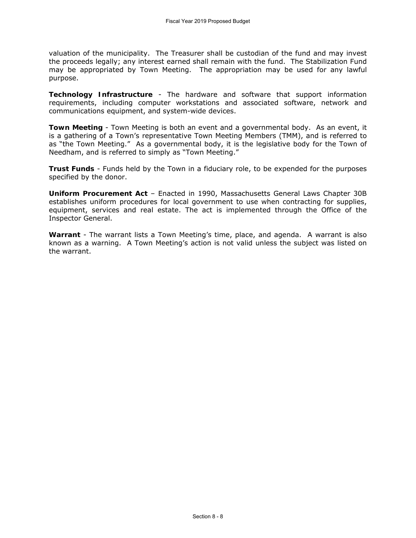valuation of the municipality. The Treasurer shall be custodian of the fund and may invest the proceeds legally; any interest earned shall remain with the fund. The Stabilization Fund may be appropriated by Town Meeting. The appropriation may be used for any lawful purpose.

**Technology Infrastructure** - The hardware and software that support information requirements, including computer workstations and associated software, network and communications equipment, and system-wide devices.

**Town Meeting** - Town Meeting is both an event and a governmental body. As an event, it is a gathering of a Town's representative Town Meeting Members (TMM), and is referred to as "the Town Meeting." As a governmental body, it is the legislative body for the Town of Needham, and is referred to simply as "Town Meeting."

**Trust Funds** - Funds held by the Town in a fiduciary role, to be expended for the purposes specified by the donor.

**Uniform Procurement Act** – Enacted in 1990, Massachusetts General Laws Chapter 30B establishes uniform procedures for local government to use when contracting for supplies, equipment, services and real estate. The act is implemented through the Office of the Inspector General.

**Warrant** - The warrant lists a Town Meeting's time, place, and agenda. A warrant is also known as a warning. A Town Meeting's action is not valid unless the subject was listed on the warrant.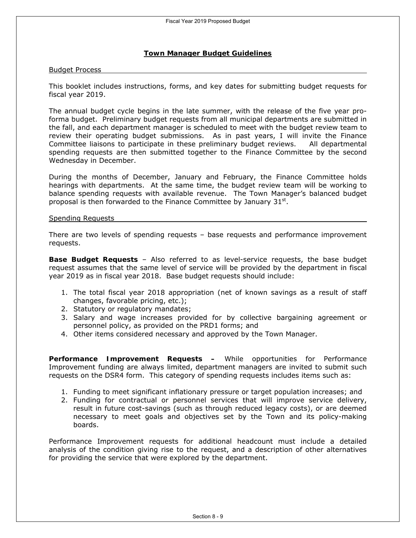### **Town Manager Budget Guidelines**

#### Budget Process

This booklet includes instructions, forms, and key dates for submitting budget requests for fiscal year 2019.

The annual budget cycle begins in the late summer, with the release of the five year proforma budget. Preliminary budget requests from all municipal departments are submitted in the fall, and each department manager is scheduled to meet with the budget review team to review their operating budget submissions. As in past years, I will invite the Finance Committee liaisons to participate in these preliminary budget reviews. All departmental spending requests are then submitted together to the Finance Committee by the second Wednesday in December.

During the months of December, January and February, the Finance Committee holds hearings with departments. At the same time, the budget review team will be working to balance spending requests with available revenue. The Town Manager's balanced budget proposal is then forwarded to the Finance Committee by January  $31<sup>st</sup>$ .

#### Spending Requests

There are two levels of spending requests – base requests and performance improvement requests.

**Base Budget Requests** – Also referred to as level-service requests, the base budget request assumes that the same level of service will be provided by the department in fiscal year 2019 as in fiscal year 2018. Base budget requests should include:

- 1. The total fiscal year 2018 appropriation (net of known savings as a result of staff changes, favorable pricing, etc.);
- 2. Statutory or regulatory mandates;
- 3. Salary and wage increases provided for by collective bargaining agreement or personnel policy, as provided on the PRD1 forms; and
- 4. Other items considered necessary and approved by the Town Manager.

**Performance Improvement Requests –** While opportunities for Performance Improvement funding are always limited, department managers are invited to submit such requests on the DSR4 form. This category of spending requests includes items such as:

- 1. Funding to meet significant inflationary pressure or target population increases; and
- 2. Funding for contractual or personnel services that will improve service delivery, result in future cost-savings (such as through reduced legacy costs), or are deemed necessary to meet goals and objectives set by the Town and its policy-making boards.

Performance Improvement requests for additional headcount must include a detailed analysis of the condition giving rise to the request, and a description of other alternatives for providing the service that were explored by the department.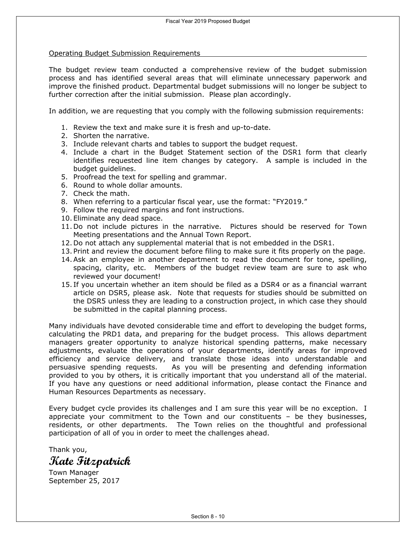#### Operating Budget Submission Requirements

The budget review team conducted a comprehensive review of the budget submission process and has identified several areas that will eliminate unnecessary paperwork and improve the finished product. Departmental budget submissions will no longer be subject to further correction after the initial submission. Please plan accordingly.

In addition, we are requesting that you comply with the following submission requirements:

- 1. Review the text and make sure it is fresh and up-to-date.
- 2. Shorten the narrative.
- 3. Include relevant charts and tables to support the budget request.
- 4. Include a chart in the Budget Statement section of the DSR1 form that clearly identifies requested line item changes by category. A sample is included in the budget guidelines.
- 5. Proofread the text for spelling and grammar.
- 6. Round to whole dollar amounts.
- 7. Check the math.
- 8. When referring to a particular fiscal year, use the format: "FY2019."
- 9. Follow the required margins and font instructions.
- 10. Eliminate any dead space.
- 11. Do not include pictures in the narrative. Pictures should be reserved for Town Meeting presentations and the Annual Town Report.
- 12. Do not attach any supplemental material that is not embedded in the DSR1.
- 13. Print and review the document before filing to make sure it fits properly on the page.
- 14.Ask an employee in another department to read the document for tone, spelling, spacing, clarity, etc. Members of the budget review team are sure to ask who reviewed your document!
- 15. If you uncertain whether an item should be filed as a DSR4 or as a financial warrant article on DSR5, please ask. Note that requests for studies should be submitted on the DSR5 unless they are leading to a construction project, in which case they should be submitted in the capital planning process.

Many individuals have devoted considerable time and effort to developing the budget forms, calculating the PRD1 data, and preparing for the budget process. This allows department managers greater opportunity to analyze historical spending patterns, make necessary adjustments, evaluate the operations of your departments, identify areas for improved efficiency and service delivery, and translate those ideas into understandable and persuasive spending requests. As you will be presenting and defending information provided to you by others, it is critically important that you understand all of the material. If you have any questions or need additional information, please contact the Finance and Human Resources Departments as necessary.

Every budget cycle provides its challenges and I am sure this year will be no exception. I appreciate your commitment to the Town and our constituents – be they businesses, residents, or other departments. The Town relies on the thoughtful and professional participation of all of you in order to meet the challenges ahead.

Thank you,

**Kate Fitzpatrick** 

Town Manager September 25, 2017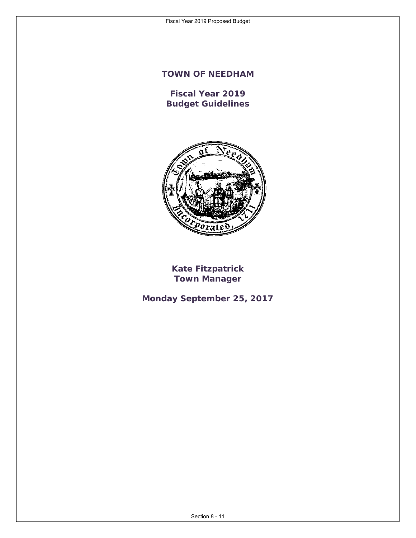# **TOWN OF NEEDHAM**

**Fiscal Year 2019 Budget Guidelines** 



**Kate Fitzpatrick Town Manager** 

**Monday September 25, 2017**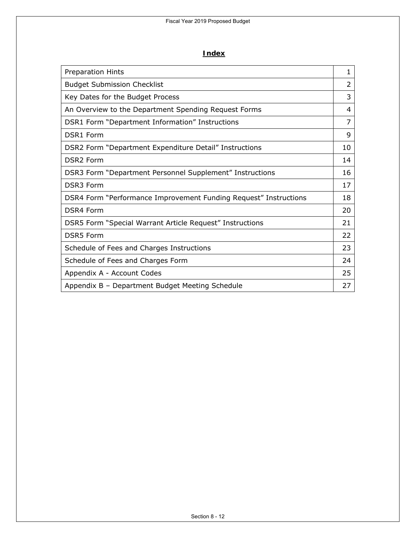### **Index**

| <b>Preparation Hints</b>                                         | 1  |
|------------------------------------------------------------------|----|
| <b>Budget Submission Checklist</b>                               | 2  |
| Key Dates for the Budget Process                                 | 3  |
| An Overview to the Department Spending Request Forms             | 4  |
| DSR1 Form "Department Information" Instructions                  | 7  |
| <b>DSR1 Form</b>                                                 | 9  |
| DSR2 Form "Department Expenditure Detail" Instructions           | 10 |
| <b>DSR2 Form</b>                                                 | 14 |
| DSR3 Form "Department Personnel Supplement" Instructions         | 16 |
| <b>DSR3 Form</b>                                                 | 17 |
| DSR4 Form "Performance Improvement Funding Request" Instructions | 18 |
| <b>DSR4 Form</b>                                                 | 20 |
| DSR5 Form "Special Warrant Article Request" Instructions         | 21 |
| <b>DSR5</b> Form                                                 | 22 |
| Schedule of Fees and Charges Instructions                        | 23 |
| Schedule of Fees and Charges Form                                | 24 |
| Appendix A - Account Codes                                       | 25 |
| Appendix B - Department Budget Meeting Schedule                  | 27 |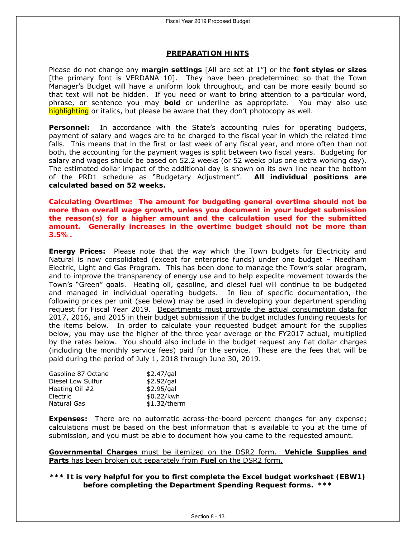#### **PREPARATION HINTS**

Please do not change any **margin settings** [All are set at 1"] or the **font styles or sizes**  [the primary font is VERDANA 10]. They have been predetermined so that the Town Manager's Budget will have a uniform look throughout, and can be more easily bound so that text will not be hidden. If you need or want to bring attention to a particular word, phrase, or sentence you may **bold** or underline as appropriate. You may also use highlighting or *italics*, but please be aware that they don't photocopy as well.

**Personnel:** In accordance with the State's accounting rules for operating budgets, payment of salary and wages are to be charged to the fiscal year in which the related time falls. This means that in the first or last week of any fiscal year, and more often than not both, the accounting for the payment wages is split between two fiscal years. Budgeting for salary and wages should be based on 52.2 weeks (or 52 weeks plus one extra working day). The estimated dollar impact of the additional day is shown on its own line near the bottom of the PRD1 schedule as "Budgetary Adjustment". **All individual positions are calculated based on 52 weeks.**

### *Calculating Overtime: The amount for budgeting general overtime should not be more than overall wage growth, unless you document in your budget submission the reason(s) for a higher amount and the calculation used for the submitted amount. Generally increases in the overtime budget should not be more than 3.5%.*

**Energy Prices:** Please note that the way which the Town budgets for Electricity and Natural is now consolidated (except for enterprise funds) under one budget – Needham Electric, Light and Gas Program. This has been done to manage the Town's solar program, and to improve the transparency of energy use and to help expedite movement towards the Town's "Green" goals. Heating oil, gasoline, and diesel fuel will continue to be budgeted and managed in individual operating budgets. In lieu of specific documentation, the following prices per unit (see below) may be used in developing your department spending request for Fiscal Year 2019. Departments must provide the actual consumption data for 2017, 2016, and 2015 in their budget submission if the budget includes funding requests for the items below. In order to calculate your requested budget amount for the supplies below, you may use the higher of the three year average or the FY2017 actual, multiplied by the rates below. You should also include in the budget request any flat dollar charges (including the monthly service fees) paid for the service. These are the fees that will be paid during the period of July 1, 2018 through June 30, 2019.

| Gasoline 87 Octane | $$2.47$ /gal |
|--------------------|--------------|
| Diesel Low Sulfur  | \$2.92/gal   |
| Heating Oil #2     | $$2.95$ /gal |
| Electric           | \$0.22/kwh   |
| Natural Gas        | \$1.32/therm |

**Expenses:** There are no automatic across-the-board percent changes for any expense; calculations must be based on the best information that is available to you at the time of submission, and you must be able to document how you came to the requested amount.

**Governmental Charges** must be itemized on the DSR2 form. **Vehicle Supplies and Parts** has been broken out separately from **Fuel** on the DSR2 form.

**\*\*\* It is very helpful for you to first complete the Excel budget worksheet (EBW1) before completing the Department Spending Request forms. \*\*\***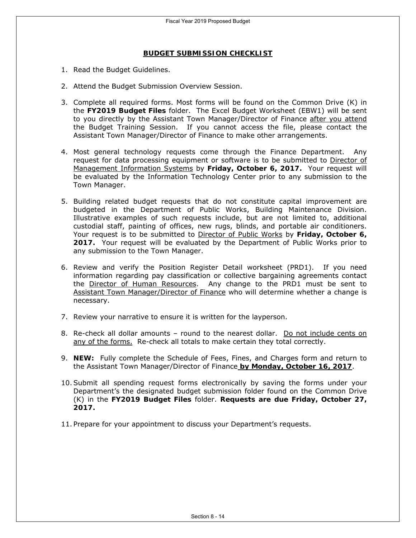#### **BUDGET SUBMISSION CHECKLIST**

- 1. Read the Budget Guidelines.
- 2. Attend the Budget Submission Overview Session.
- 3. Complete all required forms. Most forms will be found on the Common Drive (K) in the **FY2019 Budget Files** folder. The Excel Budget Worksheet (EBW1) will be sent to you directly by the Assistant Town Manager/Director of Finance after you attend the Budget Training Session. If you cannot access the file, please contact the Assistant Town Manager/Director of Finance to make other arrangements.
- 4. Most general technology requests come through the Finance Department. Any request for data processing equipment or software is to be submitted to Director of Management Information Systems by **Friday, October 6, 2017.** Your request will be evaluated by the Information Technology Center prior to any submission to the Town Manager.
- 5. Building related budget requests that do not constitute capital improvement are budgeted in the Department of Public Works, Building Maintenance Division. Illustrative examples of such requests include, but are not limited to, additional custodial staff, painting of offices, new rugs, blinds, and portable air conditioners. Your request is to be submitted to Director of Public Works by **Friday, October 6, 2017.** Your request will be evaluated by the Department of Public Works prior to any submission to the Town Manager.
- 6. Review and verify the Position Register Detail worksheet (PRD1). If you need information regarding pay classification or collective bargaining agreements contact the Director of Human Resources. Any change to the PRD1 must be sent to Assistant Town Manager/Director of Finance who will determine whether a change is necessary.
- 7. Review your narrative to ensure it is written for the layperson.
- 8. Re-check all dollar amounts round to the nearest dollar. Do not include cents on any of the forms. Re-check all totals to make certain they total correctly.
- 9. **NEW:** Fully complete the Schedule of Fees, Fines, and Charges form and return to the Assistant Town Manager/Director of Finance **by Monday, October 16, 2017**.
- 10.Submit all spending request forms electronically by saving the forms under your Department's the designated budget submission folder found on the Common Drive (K) in the **FY2019 Budget Files** folder. **Requests are due Friday, October 27, 2017.**
- 11. Prepare for your appointment to discuss your Department's requests.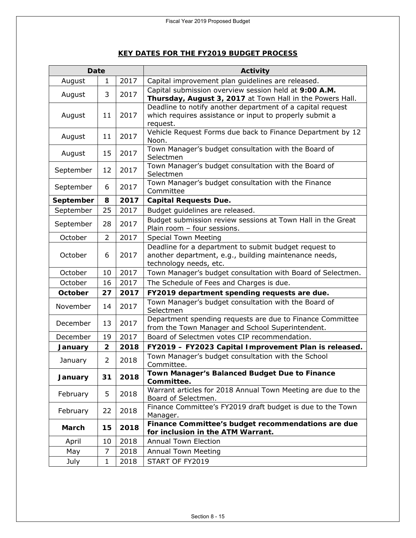### **KEY DATES FOR THE FY2019 BUDGET PROCESS**

| <b>Date</b>  |                |      | Activity                                                                                                                                 |  |  |  |  |
|--------------|----------------|------|------------------------------------------------------------------------------------------------------------------------------------------|--|--|--|--|
| August       | 1              | 2017 | Capital improvement plan guidelines are released.                                                                                        |  |  |  |  |
| August       | 3              | 2017 | Capital submission overview session held at 9:00 A.M.<br>Thursday, August 3, 2017 at Town Hall in the Powers Hall.                       |  |  |  |  |
| August       | 11             | 2017 | Deadline to notify another department of a capital request<br>which requires assistance or input to properly submit a<br>request.        |  |  |  |  |
| August       | 11             | 2017 | Vehicle Request Forms due back to Finance Department by 12<br>Noon.                                                                      |  |  |  |  |
| August       | 15             | 2017 | Town Manager's budget consultation with the Board of<br>Selectmen                                                                        |  |  |  |  |
| September    | 12             | 2017 | Town Manager's budget consultation with the Board of<br>Selectmen                                                                        |  |  |  |  |
| September    | 6              | 2017 | Town Manager's budget consultation with the Finance<br>Committee                                                                         |  |  |  |  |
| September    | 8              | 2017 | <b>Capital Requests Due.</b>                                                                                                             |  |  |  |  |
| September    | 25             | 2017 | Budget guidelines are released.                                                                                                          |  |  |  |  |
| September    | 28             | 2017 | Budget submission review sessions at Town Hall in the Great<br>Plain room - four sessions.                                               |  |  |  |  |
| October      | $\overline{2}$ | 2017 | <b>Special Town Meeting</b>                                                                                                              |  |  |  |  |
| October      | 6              | 2017 | Deadline for a department to submit budget request to<br>another department, e.g., building maintenance needs,<br>technology needs, etc. |  |  |  |  |
| October      | 10             | 2017 | Town Manager's budget consultation with Board of Selectmen.                                                                              |  |  |  |  |
| October      | 16             | 2017 | The Schedule of Fees and Charges is due.                                                                                                 |  |  |  |  |
| October      | 27             | 2017 | FY2019 department spending requests are due.                                                                                             |  |  |  |  |
| November     | 14             | 2017 | Town Manager's budget consultation with the Board of<br>Selectmen                                                                        |  |  |  |  |
| December     | 13             | 2017 | Department spending requests are due to Finance Committee<br>from the Town Manager and School Superintendent.                            |  |  |  |  |
| December     | 19             | 2017 | Board of Selectmen votes CIP recommendation.                                                                                             |  |  |  |  |
| January      | $\overline{2}$ | 2018 | FY2019 - FY2023 Capital Improvement Plan is released.                                                                                    |  |  |  |  |
| January      | $\overline{2}$ | 2018 | Town Manager's budget consultation with the School<br>Committee.                                                                         |  |  |  |  |
| January      | 31             | 2018 | Town Manager's Balanced Budget Due to Finance<br>Committee.                                                                              |  |  |  |  |
| February     | 5              | 2018 | Warrant articles for 2018 Annual Town Meeting are due to the<br>Board of Selectmen.                                                      |  |  |  |  |
| February     | 22             | 2018 | Finance Committee's FY2019 draft budget is due to the Town<br>Manager.                                                                   |  |  |  |  |
| <b>March</b> | 15             | 2018 | Finance Committee's budget recommendations are due<br>for inclusion in the ATM Warrant.                                                  |  |  |  |  |
| April        | 10             | 2018 | <b>Annual Town Election</b>                                                                                                              |  |  |  |  |
| May          | 7              | 2018 | <b>Annual Town Meeting</b>                                                                                                               |  |  |  |  |
| July         | $\mathbf{1}$   | 2018 | START OF FY2019                                                                                                                          |  |  |  |  |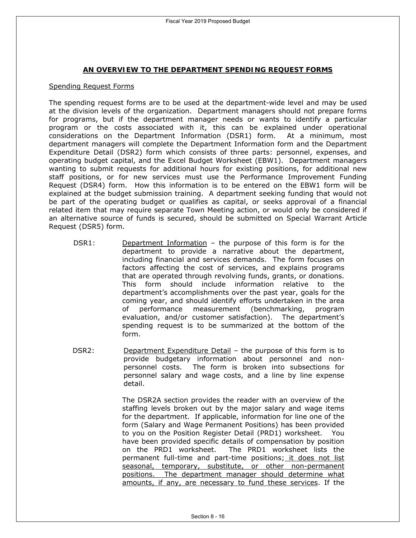### **AN OVERVIEW TO THE DEPARTMENT SPENDING REQUEST FORMS**

#### Spending Request Forms

The spending request forms are to be used at the department-wide level and may be used at the division levels of the organization. Department managers should not prepare forms for programs, but if the department manager needs or wants to identify a particular program or the costs associated with it, this can be explained under operational considerations on the Department Information (DSR1) form. At a minimum, most department managers will complete the Department Information form and the Department Expenditure Detail (DSR2) form which consists of three parts: personnel, expenses, and operating budget capital, and the Excel Budget Worksheet (EBW1). Department managers wanting to submit requests for additional hours for existing positions, for additional new staff positions, or for new services must use the Performance Improvement Funding Request (DSR4) form. How this information is to be entered on the EBW1 form will be explained at the budget submission training. A department seeking funding that would not be part of the operating budget or qualifies as capital, or seeks approval of a financial related item that may require separate Town Meeting action, or would only be considered if an alternative source of funds is secured, should be submitted on Special Warrant Article Request (DSR5) form.

- DSR1: Department Information the purpose of this form is for the department to provide a narrative about the department, including financial and services demands. The form focuses on factors affecting the cost of services, and explains programs that are operated through revolving funds, grants, or donations. This form should include information relative to the department's accomplishments over the past year, goals for the coming year, and should identify efforts undertaken in the area of performance measurement (benchmarking, program evaluation, and/or customer satisfaction). The department's spending request is to be summarized at the bottom of the form.
- DSR2: Department Expenditure Detail the purpose of this form is to provide budgetary information about personnel and nonpersonnel costs. The form is broken into subsections for personnel salary and wage costs, and a line by line expense detail.

The DSR2A section provides the reader with an overview of the staffing levels broken out by the major salary and wage items for the department. If applicable, information for line one of the form (Salary and Wage Permanent Positions) has been provided to you on the Position Register Detail (PRD1) worksheet. You have been provided specific details of compensation by position on the PRD1 worksheet. The PRD1 worksheet lists the permanent full-time and part-time positions; it does not list seasonal, temporary, substitute, or other non-permanent positions. The department manager should determine what amounts, if any, are necessary to fund these services. If the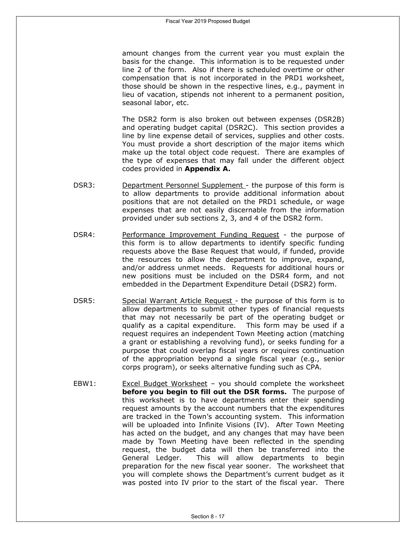amount changes from the current year you must explain the basis for the change. This information is to be requested under line 2 of the form. Also if there is scheduled overtime or other compensation that is not incorporated in the PRD1 worksheet, those should be shown in the respective lines, e.g., payment in lieu of vacation, stipends not inherent to a permanent position, seasonal labor, etc.

The DSR2 form is also broken out between expenses (DSR2B) and operating budget capital (DSR2C). This section provides a line by line expense detail of services, supplies and other costs. You must provide a short description of the major items which make up the total object code request. There are examples of the type of expenses that may fall under the different object codes provided in **Appendix A.** 

- DSR3: Department Personnel Supplement the purpose of this form is to allow departments to provide additional information about positions that are not detailed on the PRD1 schedule, or wage expenses that are not easily discernable from the information provided under sub sections 2, 3, and 4 of the DSR2 form.
- DSR4: Performance Improvement Funding Request the purpose of this form is to allow departments to identify specific funding requests above the Base Request that would, if funded, provide the resources to allow the department to improve, expand, and/or address unmet needs. Requests for additional hours or new positions must be included on the DSR4 form, and not embedded in the Department Expenditure Detail (DSR2) form.
- DSR5: Special Warrant Article Request the purpose of this form is to allow departments to submit other types of financial requests that may not necessarily be part of the operating budget or qualify as a capital expenditure. This form may be used if a request requires an independent Town Meeting action (matching a grant or establishing a revolving fund), or seeks funding for a purpose that could overlap fiscal years or requires continuation of the appropriation beyond a single fiscal year (e.g., senior corps program), or seeks alternative funding such as CPA.
- EBW1: Excel Budget Worksheet you should complete the worksheet **before you begin to fill out the DSR forms.** The purpose of this worksheet is to have departments enter their spending request amounts by the account numbers that the expenditures are tracked in the Town's accounting system. This information will be uploaded into Infinite Visions (IV). After Town Meeting has acted on the budget, and any changes that may have been made by Town Meeting have been reflected in the spending request, the budget data will then be transferred into the General Ledger. This will allow departments to begin preparation for the new fiscal year sooner. The worksheet that you will complete shows the Department's current budget as it was posted into IV prior to the start of the fiscal year. There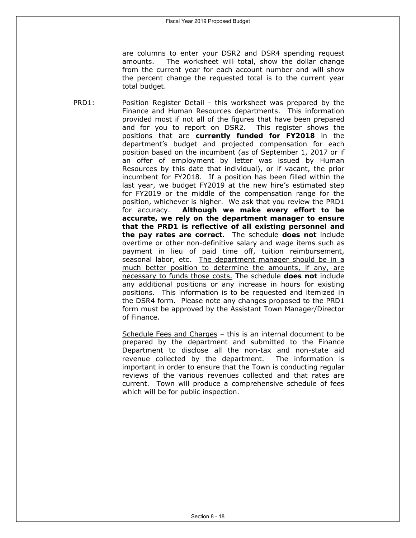are columns to enter your DSR2 and DSR4 spending request amounts. The worksheet will total, show the dollar change from the current year for each account number and will show the percent change the requested total is to the current year total budget.

PRD1: Position Register Detail - this worksheet was prepared by the Finance and Human Resources departments. This information provided most if not all of the figures that have been prepared and for you to report on DSR2. This register shows the positions that are **currently funded for FY2018** in the department's budget and projected compensation for each position based on the incumbent (as of September 1, 2017 or if an offer of employment by letter was issued by Human Resources by this date that individual), or if vacant, the prior incumbent for FY2018. If a position has been filled within the last year, we budget FY2019 at the new hire's estimated step for FY2019 or the middle of the compensation range for the position, whichever is higher. We ask that you review the PRD1 for accuracy. **Although we make every effort to be accurate, we rely on the department manager to ensure that the PRD1 is reflective of all existing personnel and the pay rates are correct.** The schedule **does not** include overtime or other non-definitive salary and wage items such as payment in lieu of paid time off, tuition reimbursement, seasonal labor, etc. The department manager should be in a much better position to determine the amounts, if any, are necessary to funds those costs. The schedule **does not** include any additional positions or any increase in hours for existing positions. This information is to be requested and itemized in the DSR4 form. Please note any changes proposed to the PRD1 form must be approved by the Assistant Town Manager/Director of Finance.

> Schedule Fees and Charges – this is an internal document to be prepared by the department and submitted to the Finance Department to disclose all the non-tax and non-state aid revenue collected by the department. The information is important in order to ensure that the Town is conducting regular reviews of the various revenues collected and that rates are current. Town will produce a comprehensive schedule of fees which will be for public inspection.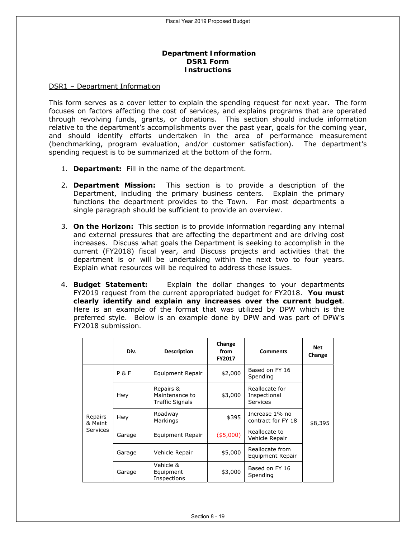### **Department Information DSR1 Form Instructions**

#### DSR1 – Department Information

This form serves as a cover letter to explain the spending request for next year. The form focuses on factors affecting the cost of services, and explains programs that are operated through revolving funds, grants, or donations. This section should include information relative to the department's accomplishments over the past year, goals for the coming year, and should identify efforts undertaken in the area of performance measurement (benchmarking, program evaluation, and/or customer satisfaction). The department's spending request is to be summarized at the bottom of the form.

- 1. **Department:** Fill in the name of the department.
- 2. **Department Mission:** This section is to provide a description of the Department, including the primary business centers. Explain the primary functions the department provides to the Town. For most departments a single paragraph should be sufficient to provide an overview.
- 3. **On the Horizon:** This section is to provide information regarding any internal and external pressures that are affecting the department and are driving cost increases. Discuss what goals the Department is seeking to accomplish in the current (FY2018) fiscal year, and Discuss projects and activities that the department is or will be undertaking within the next two to four years. Explain what resources will be required to address these issues.
- 4. **Budget Statement:** Explain the dollar changes to your departments FY2019 request from the current appropriated budget for FY2018. **You must clearly identify and explain any increases over the current budget**. Here is an example of the format that was utilized by DPW which is the preferred style. *Below is an example done by DPW and was part of DPW's FY2018 submission.*

|                                       | Div.           | <b>Description</b>                                    | Change<br>from<br>FY2017 | <b>Comments</b>                                   | <b>Net</b><br>Change |
|---------------------------------------|----------------|-------------------------------------------------------|--------------------------|---------------------------------------------------|----------------------|
|                                       | <b>P&amp;F</b> | Equipment Repair                                      | \$2,000                  | Based on FY 16<br>Spending                        |                      |
|                                       | Hwy            | Repairs &<br>Maintenance to<br><b>Traffic Signals</b> | \$3,000                  | Reallocate for<br>Inspectional<br><b>Services</b> |                      |
| Repairs<br>& Maint<br><b>Services</b> | Hwy            | Roadway<br>Markings                                   | \$395                    | Increase 1% no<br>contract for FY 18              | \$8,395              |
|                                       | Garage         | Equipment Repair                                      | (\$5,000)                | Reallocate to<br>Vehicle Repair                   |                      |
|                                       | Garage         | Vehicle Repair                                        | \$5,000                  | Reallocate from<br>Equipment Repair               |                      |
|                                       | Garage         | Vehicle &<br>Equipment<br>Inspections                 | \$3,000                  | Based on FY 16<br>Spending                        |                      |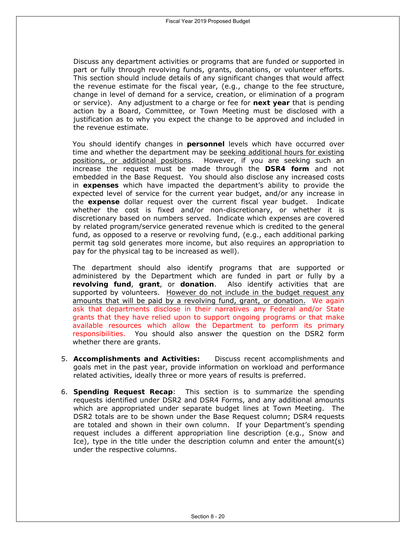Discuss any department activities or programs that are funded or supported in part or fully through revolving funds, grants, donations, or volunteer efforts. This section should include details of any significant changes that would affect the revenue estimate for the fiscal year, (e.g., change to the fee structure, change in level of demand for a service, creation, or elimination of a program or service). Any adjustment to a charge or fee for **next year** that is pending action by a Board, Committee, or Town Meeting must be disclosed with a justification as to why you expect the change to be approved and included in the revenue estimate.

You should identify changes in **personnel** levels which have occurred over time and whether the department may be seeking additional hours for existing positions, or additional positions. However, if you are seeking such an increase the request must be made through the **DSR4 form** and not embedded in the Base Request. You should also disclose any increased costs in **expenses** which have impacted the department's ability to provide the expected level of service for the current year budget, and/or any increase in the **expense** dollar request over the current fiscal year budget. Indicate whether the cost is fixed and/or non-discretionary, or whether it is discretionary based on numbers served. Indicate which expenses are covered by related program/service generated revenue which is credited to the general fund, as opposed to a reserve or revolving fund, (e.g., each additional parking permit tag sold generates more income, but also requires an appropriation to pay for the physical tag to be increased as well).

The department should also identify programs that are supported or administered by the Department which are funded in part or fully by a **revolving fund**, **grant**, or **donation**. Also identify activities that are supported by volunteers. However do not include in the budget request any amounts that will be paid by a revolving fund, grant, or donation. We again ask that departments disclose in their narratives any Federal and/or State grants that they have relied upon to support ongoing programs or that make available resources which allow the Department to perform its primary responsibilities. You should also answer the question on the DSR2 form whether there are grants.

- 5. **Accomplishments and Activities:** Discuss recent accomplishments and goals met in the past year, provide information on workload and performance related activities, ideally three or more years of results is preferred.
- 6. **Spending Request Recap**: This section is to summarize the spending requests identified under DSR2 and DSR4 Forms, and any additional amounts which are appropriated under separate budget lines at Town Meeting. The DSR2 totals are to be shown under the Base Request column; DSR4 requests are totaled and shown in their own column. If your Department's spending request includes a different appropriation line description (e.g., Snow and Ice), type in the title under the description column and enter the amount(s) under the respective columns.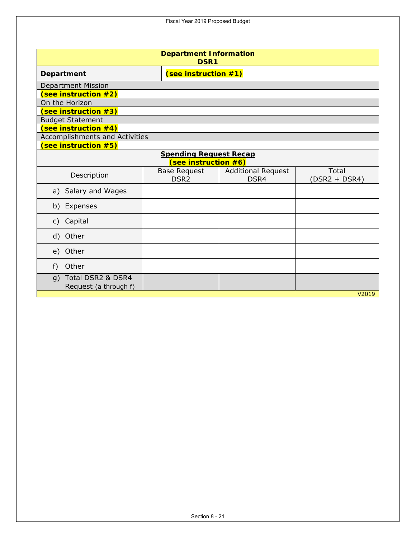**Department Information DSR1 Department** (See instruction #1) Department Mission **(see instruction #2)** On the Horizon **(see instruction #3)** Budget Statement **(see instruction #4)** Accomplishments and Activities **(see instruction #5) Spending Request Recap (see instruction #6)** Description Base Request DSR2 Additional Request DSR4 Total (DSR2 + DSR4) a) Salary and Wages b) Expenses c) Capital d) Other e) Other f) Other g) Total DSR2 & DSR4 Request (a through f) V2019

Fiscal Year 2019 Proposed Budget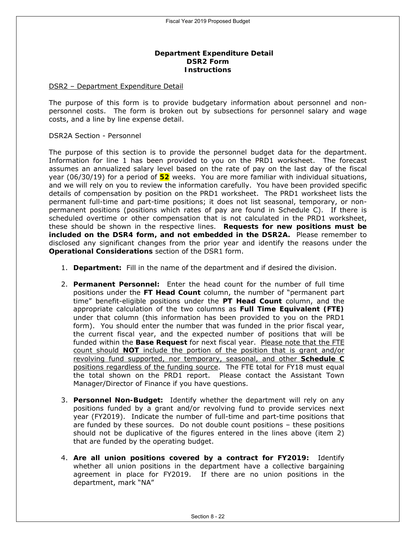### **Department Expenditure Detail DSR2 Form Instructions**

#### DSR2 – Department Expenditure Detail

The purpose of this form is to provide budgetary information about personnel and nonpersonnel costs. The form is broken out by subsections for personnel salary and wage costs, and a line by line expense detail.

#### DSR2A Section - Personnel

The purpose of this section is to provide the personnel budget data for the department. Information for line 1 has been provided to you on the PRD1 worksheet. The forecast assumes an annualized salary level based on the rate of pay on the last day of the fiscal year (06/30/19) for a period of **52** weeks. You are more familiar with individual situations, and we will rely on you to review the information carefully. You have been provided specific details of compensation by position on the PRD1 worksheet. The PRD1 worksheet lists the permanent full-time and part-time positions; it does not list seasonal, temporary, or nonpermanent positions (positions which rates of pay are found in Schedule C). If there is scheduled overtime or other compensation that is not calculated in the PRD1 worksheet, these should be shown in the respective lines. **Requests for new positions must be included on the DSR4 form, and not embedded in the DSR2A.** Please remember to disclosed any significant changes from the prior year and identify the reasons under the **Operational Considerations** section of the DSR1 form.

- 1. **Department:** Fill in the name of the department and if desired the division.
- 2. **Permanent Personnel:** Enter the head count for the number of full time positions under the **FT Head Count** column, the number of "permanent part time" benefit-eligible positions under the **PT Head Count** column, and the appropriate calculation of the two columns as **Full Time Equivalent (FTE)** under that column (this information has been provided to you on the PRD1 form). You should enter the number that was funded in the prior fiscal year, the current fiscal year, and the expected number of positions that will be funded within the **Base Request** for next fiscal year. Please note that the FTE count should **NOT** include the portion of the position that is grant and/or revolving fund supported, nor temporary, seasonal, and other **Schedule C** positions regardless of the funding source. The FTE total for FY18 must equal the total shown on the PRD1 report. Please contact the Assistant Town Manager/Director of Finance if you have questions.
- 3. **Personnel Non-Budget:** Identify whether the department will rely on any positions funded by a grant and/or revolving fund to provide services next year (FY2019). Indicate the number of full-time and part-time positions that are funded by these sources. Do not double count positions – these positions should not be duplicative of the figures entered in the lines above (item 2) that are funded by the operating budget.
- 4. **Are all union positions covered by a contract for FY2019:** Identify whether all union positions in the department have a collective bargaining agreement in place for FY2019. If there are no union positions in the department, mark "NA"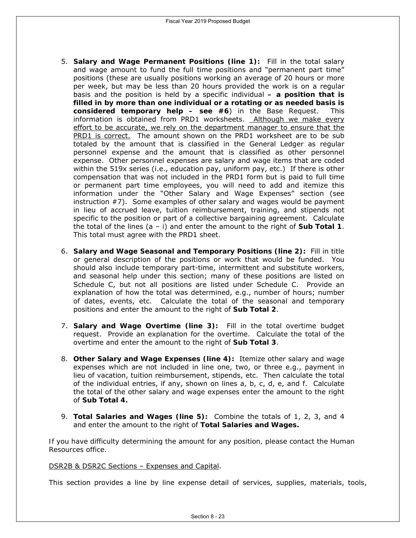- 5. **Salary and Wage Permanent Positions (line 1):** Fill in the total salary and wage amount to fund the full time positions and "permanent part time" positions (these are usually positions working an average of 20 hours or more per week, but may be less than 20 hours provided the work is on a regular basis and the position is held by a specific individual **– a position that is filled in by more than one individual or a rotating or as needed basis is considered temporary help – see #6**) in the Base Request. This information is obtained from PRD1 worksheets. Although we make every effort to be accurate, we rely on the department manager to ensure that the PRD1 is correct. The amount shown on the PRD1 worksheet are to be sub totaled by the amount that is classified in the General Ledger as regular personnel expense and the amount that is classified as other personnel expense. Other personnel expenses are salary and wage items that are coded within the 519x series (i.e., education pay, uniform pay, etc.) If there is other compensation that was not included in the PRD1 form but is paid to full time or permanent part time employees, you will need to add and itemize this information under the "Other Salary and Wage Expenses" section (see instruction #7). Some examples of other salary and wages would be payment in lieu of accrued leave, tuition reimbursement, training, and stipends not specific to the position or part of a collective bargaining agreement. Calculate the total of the lines  $(a - i)$  and enter the amount to the right of **Sub Total 1**. *This total must agree with the PRD1 sheet.*
- 6. **Salary and Wage Seasonal and Temporary Positions (line 2):** Fill in title or general description of the positions or work that would be funded. You should also include temporary part-time, intermittent and substitute workers, and seasonal help under this section; many of these positions are listed on Schedule C, but not all positions are listed under Schedule C. Provide an explanation of how the total was determined, e.g., number of hours; number of dates, events, etc. Calculate the total of the seasonal and temporary positions and enter the amount to the right of **Sub Total 2**.
- 7. **Salary and Wage Overtime (line 3):** Fill in the total overtime budget request. Provide an explanation for the overtime. Calculate the total of the overtime and enter the amount to the right of **Sub Total 3**.
- 8. **Other Salary and Wage Expenses (line 4):** Itemize other salary and wage expenses which are not included in line one, two, or three e.g., payment in lieu of vacation, tuition reimbursement, stipends, etc. Then calculate the total of the individual entries, if any, shown on lines a, b, c, d, e, and f. Calculate the total of the other salary and wage expenses enter the amount to the right of **Sub Total 4.**
- 9. **Total Salaries and Wages (line 5):** Combine the totals of 1, 2, 3, and 4 and enter the amount to the right of **Total Salaries and Wages.**

*If you have difficulty determining the amount for any position, please contact the Human Resources office.* 

### DSR2B & DSR2C Sections – Expenses and Capital.

This section provides a line by line expense detail of services, supplies, materials, tools,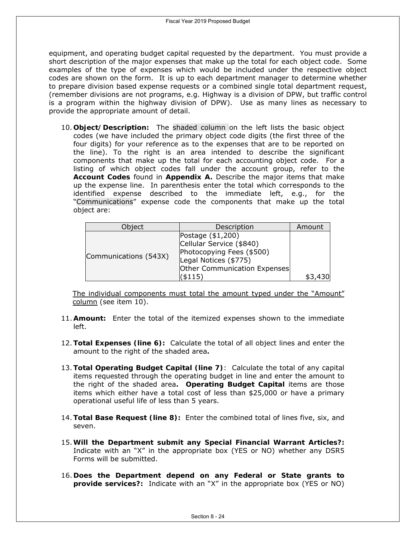equipment, and operating budget capital requested by the department. You must provide a short description of the major expenses that make up the total for each object code. Some examples of the type of expenses which would be included under the respective object codes are shown on the form. It is up to each department manager to determine whether to prepare division based expense requests or a combined single total department request, (remember divisions are not programs, e.g. Highway is a division of DPW, but traffic control is a program within the highway division of DPW). Use as many lines as necessary to provide the appropriate amount of detail.

10. **Object/Description:** The shaded column on the left lists the basic object codes (we have included the primary object code digits (the first three of the four digits) for your reference as to the expenses that are to be reported on the line). To the right is an area intended to describe the significant components that make up the total for each accounting object code. For a listing of which object codes fall under the account group, refer to the **Account Codes** found in **Appendix A.** Describe the major items that make up the expense line. In parenthesis enter the total which corresponds to the identified expense described to the immediate left, e.g., for the "Communications" expense code the components that make up the total object are:

| Object                | Description                                                                                                                                    | Amount  |
|-----------------------|------------------------------------------------------------------------------------------------------------------------------------------------|---------|
| Communications (543X) | Postage (\$1,200)<br>Cellular Service (\$840)<br>Photocopying Fees (\$500)<br>Legal Notices (\$775)<br>Other Communication Expenses<br>(\$115) | \$3,430 |

The individual components must total the amount typed under the "Amount" column (see item 10).

- 11. **Amount:** Enter the total of the itemized expenses shown to the immediate left.
- 12.**Total Expenses (line 6):** Calculate the total of all object lines and enter the amount to the right of the shaded area**.**
- 13.**Total Operating Budget Capital (line 7)**: Calculate the total of any capital items requested through the operating budget in line and enter the amount to the right of the shaded area**. Operating Budget Capital** items are those items which either have a total cost of less than \$25,000 or have a primary operational useful life of less than 5 years.
- 14.**Total Base Request (line 8):** Enter the combined total of lines five, six, and seven.
- 15.**Will the Department submit any Special Financial Warrant Articles?:**  Indicate with an "X" in the appropriate box (YES or NO) whether any DSR5 Forms will be submitted.
- 16. **Does the Department depend on any Federal or State grants to provide services?:** Indicate with an "X" in the appropriate box (YES or NO)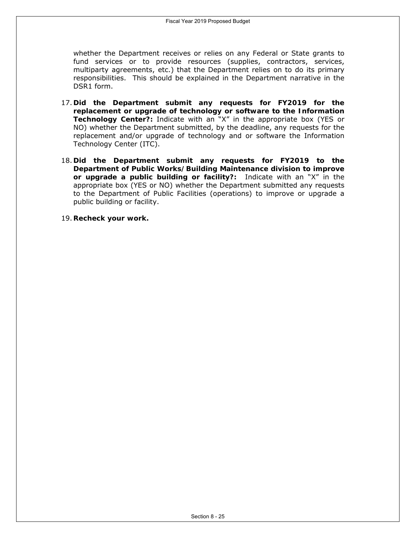whether the Department receives or relies on any Federal or State grants to fund services or to provide resources (supplies, contractors, services, multiparty agreements, etc.) that the Department relies on to do its primary responsibilities. This should be explained in the Department narrative in the DSR1 form.

- 17. **Did the Department submit any requests for FY2019 for the replacement or upgrade of technology or software to the Information Technology Center?:** Indicate with an "X" in the appropriate box (YES or NO) whether the Department submitted, by the deadline, any requests for the replacement and/or upgrade of technology and or software the Information Technology Center (ITC).
- 18. **Did the Department submit any requests for FY2019 to the Department of Public Works/Building Maintenance division to improve or upgrade a public building or facility?:** Indicate with an "X" in the appropriate box (YES or NO) whether the Department submitted any requests to the Department of Public Facilities (operations) to improve or upgrade a public building or facility.
- 19. **Recheck your work.**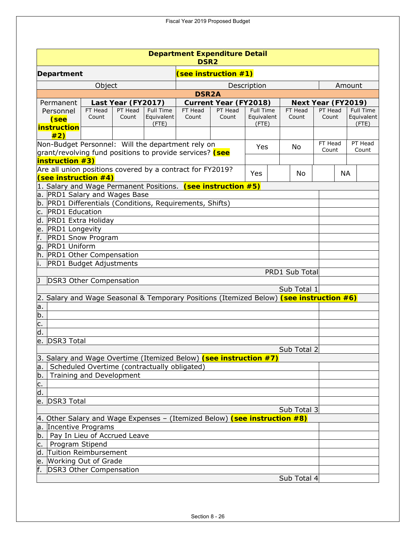| <b>Department Expenditure Detail</b><br>DSR <sub>2</sub>                                |         |                    |            |              |                              |                     |  |                |                    |           |                        |
|-----------------------------------------------------------------------------------------|---------|--------------------|------------|--------------|------------------------------|---------------------|--|----------------|--------------------|-----------|------------------------|
| (see instruction #1)<br>Department                                                      |         |                    |            |              |                              |                     |  |                |                    |           |                        |
|                                                                                         | Object  |                    |            |              |                              | Description         |  |                |                    |           | Amount                 |
|                                                                                         |         |                    |            | <b>DSR2A</b> |                              |                     |  |                |                    |           |                        |
| Permanent                                                                               |         | Last Year (FY2017) |            |              | <b>Current Year (FY2018)</b> |                     |  |                | Next Year (FY2019) |           |                        |
| Personnel                                                                               | FT Head | PT Head            | Full Time  | FT Head      | PT Head                      | <b>Full Time</b>    |  | FT Head        | PT Head            |           | <b>Full Time</b>       |
| (see                                                                                    | Count   | Count              | Equivalent | Count        | Count                        | Equivalent<br>(FTE) |  | Count          | Count              |           | Equivalent<br>$($ FTE) |
| instruction                                                                             |         |                    | (FTE)      |              |                              |                     |  |                |                    |           |                        |
| #2)<br>Non-Budget Personnel: Will the department rely on                                |         |                    |            |              |                              |                     |  |                | FT Head            |           | PT Head                |
| grant/revolving fund positions to provide services? (see                                |         |                    |            |              |                              | Yes                 |  | No             | Count              |           | Count                  |
| <b>instruction #3)</b>                                                                  |         |                    |            |              |                              |                     |  |                |                    |           |                        |
| Are all union positions covered by a contract for FY2019?                               |         |                    |            |              |                              |                     |  |                |                    |           |                        |
| (see instruction $#4$ )                                                                 |         |                    |            |              |                              | Yes                 |  | No             |                    | <b>NA</b> |                        |
| 1. Salary and Wage Permanent Positions. (see instruction #5)                            |         |                    |            |              |                              |                     |  |                |                    |           |                        |
| a. PRD1 Salary and Wages Base                                                           |         |                    |            |              |                              |                     |  |                |                    |           |                        |
| b. PRD1 Differentials (Conditions, Requirements, Shifts)                                |         |                    |            |              |                              |                     |  |                |                    |           |                        |
| c. PRD1 Education                                                                       |         |                    |            |              |                              |                     |  |                |                    |           |                        |
| d. PRD1 Extra Holiday                                                                   |         |                    |            |              |                              |                     |  |                |                    |           |                        |
| e. PRD1 Longevity                                                                       |         |                    |            |              |                              |                     |  |                |                    |           |                        |
| f.<br><b>PRD1 Snow Program</b>                                                          |         |                    |            |              |                              |                     |  |                |                    |           |                        |
| g. PRD1 Uniform                                                                         |         |                    |            |              |                              |                     |  |                |                    |           |                        |
| h. PRD1 Other Compensation                                                              |         |                    |            |              |                              |                     |  |                |                    |           |                        |
| PRD1 Budget Adjustments                                                                 |         |                    |            |              |                              |                     |  |                |                    |           |                        |
|                                                                                         |         |                    |            |              |                              |                     |  | PRD1 Sub Total |                    |           |                        |
| IJ<br><b>DSR3 Other Compensation</b>                                                    |         |                    |            |              |                              |                     |  |                |                    |           |                        |
|                                                                                         |         |                    |            |              |                              |                     |  | Sub Total 1    |                    |           |                        |
| 2. Salary and Wage Seasonal & Temporary Positions (Itemized Below) (see instruction #6) |         |                    |            |              |                              |                     |  |                |                    |           |                        |
|                                                                                         |         |                    |            |              |                              |                     |  |                |                    |           |                        |
|                                                                                         |         |                    |            |              |                              |                     |  |                |                    |           |                        |
| $\frac{a}{b}$ .<br>$\frac{c}{d}$ .                                                      |         |                    |            |              |                              |                     |  |                |                    |           |                        |
|                                                                                         |         |                    |            |              |                              |                     |  |                |                    |           |                        |
| e.<br><b>DSR3</b> Total                                                                 |         |                    |            |              |                              |                     |  |                |                    |           |                        |
|                                                                                         |         |                    |            |              |                              |                     |  | Sub Total 2    |                    |           |                        |
| 3. Salary and Wage Overtime (Itemized Below) (see instruction #7)                       |         |                    |            |              |                              |                     |  |                |                    |           |                        |
| Scheduled Overtime (contractually obligated)<br>la.                                     |         |                    |            |              |                              |                     |  |                |                    |           |                        |
| b.<br>Training and Development                                                          |         |                    |            |              |                              |                     |  |                |                    |           |                        |
|                                                                                         |         |                    |            |              |                              |                     |  |                |                    |           |                        |
| $rac{c}{d}$ .                                                                           |         |                    |            |              |                              |                     |  |                |                    |           |                        |
| <b>DSR3 Total</b><br>e.                                                                 |         |                    |            |              |                              |                     |  |                |                    |           |                        |
|                                                                                         |         |                    |            |              |                              |                     |  | Sub Total 3    |                    |           |                        |
| 4. Other Salary and Wage Expenses - (Itemized Below) (see instruction #8)               |         |                    |            |              |                              |                     |  |                |                    |           |                        |
| a. Incentive Programs                                                                   |         |                    |            |              |                              |                     |  |                |                    |           |                        |
| b.   Pay In Lieu of Accrued Leave                                                       |         |                    |            |              |                              |                     |  |                |                    |           |                        |
| c.   Program Stipend                                                                    |         |                    |            |              |                              |                     |  |                |                    |           |                        |
| d. Tuition Reimbursement                                                                |         |                    |            |              |                              |                     |  |                |                    |           |                        |
| e. Working Out of Grade                                                                 |         |                    |            |              |                              |                     |  |                |                    |           |                        |
| <b>DSR3 Other Compensation</b>                                                          |         |                    |            |              |                              |                     |  |                |                    |           |                        |
|                                                                                         |         |                    |            |              |                              |                     |  | Sub Total 4    |                    |           |                        |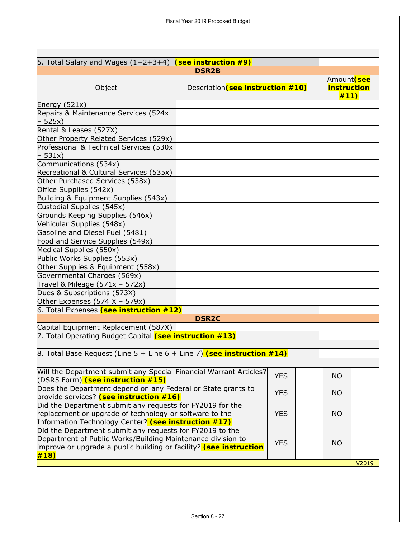| 5. Total Salary and Wages $(1+2+3+4)$ (see instruction $\#9$ )                                                                                                                                        |                                   |            |                                           |       |
|-------------------------------------------------------------------------------------------------------------------------------------------------------------------------------------------------------|-----------------------------------|------------|-------------------------------------------|-------|
|                                                                                                                                                                                                       | <b>DSR2B</b>                      |            |                                           |       |
| Object                                                                                                                                                                                                | Description (see instruction #10) |            | Amount (see<br><b>instruction</b><br>#11) |       |
| Energy $(521x)$                                                                                                                                                                                       |                                   |            |                                           |       |
| Repairs & Maintenance Services (524x<br>$-525x$                                                                                                                                                       |                                   |            |                                           |       |
| Rental & Leases (527X)                                                                                                                                                                                |                                   |            |                                           |       |
| Other Property Related Services (529x)                                                                                                                                                                |                                   |            |                                           |       |
| Professional & Technical Services (530x<br>$-531x)$                                                                                                                                                   |                                   |            |                                           |       |
| Communications (534x)                                                                                                                                                                                 |                                   |            |                                           |       |
| Recreational & Cultural Services (535x)                                                                                                                                                               |                                   |            |                                           |       |
| Other Purchased Services (538x)                                                                                                                                                                       |                                   |            |                                           |       |
| Office Supplies (542x)                                                                                                                                                                                |                                   |            |                                           |       |
| Building & Equipment Supplies (543x)                                                                                                                                                                  |                                   |            |                                           |       |
| Custodial Supplies (545x)                                                                                                                                                                             |                                   |            |                                           |       |
| Grounds Keeping Supplies (546x)                                                                                                                                                                       |                                   |            |                                           |       |
| Vehicular Supplies (548x)                                                                                                                                                                             |                                   |            |                                           |       |
| Gasoline and Diesel Fuel (5481)                                                                                                                                                                       |                                   |            |                                           |       |
| Food and Service Supplies (549x)                                                                                                                                                                      |                                   |            |                                           |       |
| Medical Supplies (550x)                                                                                                                                                                               |                                   |            |                                           |       |
| Public Works Supplies (553x)                                                                                                                                                                          |                                   |            |                                           |       |
| Other Supplies & Equipment (558x)                                                                                                                                                                     |                                   |            |                                           |       |
| Governmental Charges (569x)                                                                                                                                                                           |                                   |            |                                           |       |
| Travel & Mileage $(571x - 572x)$                                                                                                                                                                      |                                   |            |                                           |       |
| Dues & Subscriptions (573X)                                                                                                                                                                           |                                   |            |                                           |       |
| Other Expenses (574 X - 579x)                                                                                                                                                                         |                                   |            |                                           |       |
| 6. Total Expenses (see instruction #12)                                                                                                                                                               |                                   |            |                                           |       |
|                                                                                                                                                                                                       | <b>DSR2C</b>                      |            |                                           |       |
| Capital Equipment Replacement (587X)                                                                                                                                                                  |                                   |            |                                           |       |
| 7. Total Operating Budget Capital (see instruction #13)                                                                                                                                               |                                   |            |                                           |       |
|                                                                                                                                                                                                       |                                   |            |                                           |       |
| 8. Total Base Request (Line 5 + Line 6 + Line 7) (see instruction #14)                                                                                                                                |                                   |            |                                           |       |
| Will the Department submit any Special Financial Warrant Articles?<br>(DSR5 Form) (see instruction #15)                                                                                               |                                   | <b>YES</b> | <b>NO</b>                                 |       |
| Does the Department depend on any Federal or State grants to                                                                                                                                          |                                   |            |                                           |       |
| provide services? (see instruction #16)                                                                                                                                                               | <b>YES</b>                        | <b>NO</b>  |                                           |       |
| Did the Department submit any requests for FY2019 for the<br>replacement or upgrade of technology or software to the<br>Information Technology Center? (see instruction #17)                          |                                   |            | NO.                                       |       |
| Did the Department submit any requests for FY2019 to the<br>Department of Public Works/Building Maintenance division to<br>improve or upgrade a public building or facility? (see instruction<br>#18) |                                   | <b>YES</b> | <b>NO</b>                                 |       |
|                                                                                                                                                                                                       |                                   |            |                                           | V2019 |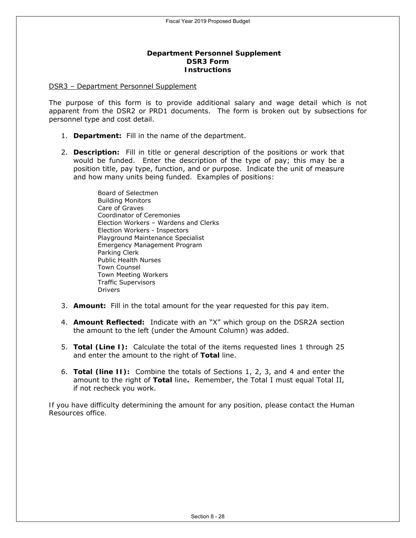### **Department Personnel Supplement DSR3 Form Instructions**

#### DSR3 – Department Personnel Supplement

The purpose of this form is to provide additional salary and wage detail which is not apparent from the DSR2 or PRD1 documents. The form is broken out by subsections for personnel type and cost detail.

- 1. **Department:** Fill in the name of the department.
- 2. **Description:** Fill in title or general description of the positions or work that would be funded. Enter the description of the type of pay; this may be a position title, pay type, function, and or purpose. Indicate the unit of measure and how many units being funded. Examples of positions:

Board of Selectmen Building Monitors Care of Graves Coordinator of Ceremonies Election Workers – Wardens and Clerks Election Workers - Inspectors Playground Maintenance Specialist Emergency Management Program Parking Clerk Public Health Nurses Town Counsel Town Meeting Workers Traffic Supervisors Drivers

- 3. **Amount:** Fill in the total amount for the year requested for this pay item.
- 4. **Amount Reflected:** Indicate with an "X" which group on the DSR2A section the amount to the left (under the Amount Column) was added.
- 5. **Total (Line I):** Calculate the total of the items requested lines 1 through 25 and enter the amount to the right of **Total** line.
- 6. **Total (line II):** Combine the totals of Sections 1, 2, 3, and 4 and enter the amount to the right of **Total** line**.** Remember, the Total I must equal Total II, if not recheck you work.

*If you have difficulty determining the amount for any position, please contact the Human Resources office.*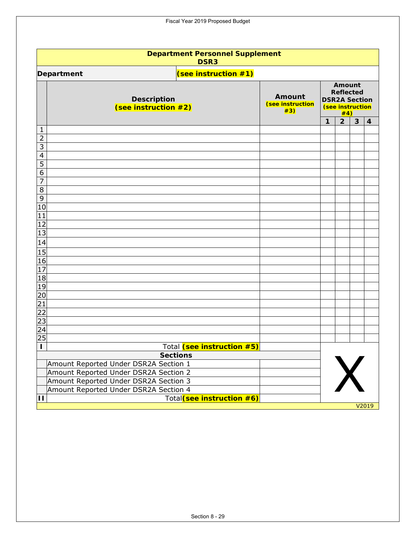| <b>Department Personnel Supplement</b><br><b>DSR3</b>    |                                   |                                                                                      |                |   |                         |  |  |  |  |
|----------------------------------------------------------|-----------------------------------|--------------------------------------------------------------------------------------|----------------|---|-------------------------|--|--|--|--|
| (see instruction #1)<br>Department                       |                                   |                                                                                      |                |   |                         |  |  |  |  |
| <b>Description</b><br>(see instruction #2)               | Amount<br>(see instruction<br>#3) | Amount<br><b>Reflected</b><br><b>DSR2A Section</b><br><b>(see instruction</b><br>#4) |                |   |                         |  |  |  |  |
|                                                          |                                   | $\mathbf{1}$                                                                         | $\overline{2}$ | 3 | $\overline{\mathbf{4}}$ |  |  |  |  |
| 1                                                        |                                   |                                                                                      |                |   |                         |  |  |  |  |
| $\overline{2}$<br>3                                      |                                   |                                                                                      |                |   |                         |  |  |  |  |
| 4                                                        |                                   |                                                                                      |                |   |                         |  |  |  |  |
| 5                                                        |                                   |                                                                                      |                |   |                         |  |  |  |  |
| 6                                                        |                                   |                                                                                      |                |   |                         |  |  |  |  |
| 7                                                        |                                   |                                                                                      |                |   |                         |  |  |  |  |
| 8                                                        |                                   |                                                                                      |                |   |                         |  |  |  |  |
| 9<br>10                                                  |                                   |                                                                                      |                |   |                         |  |  |  |  |
| 11                                                       |                                   |                                                                                      |                |   |                         |  |  |  |  |
| 12                                                       |                                   |                                                                                      |                |   |                         |  |  |  |  |
| 13                                                       |                                   |                                                                                      |                |   |                         |  |  |  |  |
| 14                                                       |                                   |                                                                                      |                |   |                         |  |  |  |  |
| 15                                                       |                                   |                                                                                      |                |   |                         |  |  |  |  |
| 16                                                       |                                   |                                                                                      |                |   |                         |  |  |  |  |
| 17                                                       |                                   |                                                                                      |                |   |                         |  |  |  |  |
| 18                                                       |                                   |                                                                                      |                |   |                         |  |  |  |  |
| 19<br>20                                                 |                                   |                                                                                      |                |   |                         |  |  |  |  |
| 21                                                       |                                   |                                                                                      |                |   |                         |  |  |  |  |
| $\overline{22}$                                          |                                   |                                                                                      |                |   |                         |  |  |  |  |
| 23                                                       |                                   |                                                                                      |                |   |                         |  |  |  |  |
| 24                                                       |                                   |                                                                                      |                |   |                         |  |  |  |  |
| 25                                                       |                                   |                                                                                      |                |   |                         |  |  |  |  |
| Total (see instruction #5)<br>п                          |                                   |                                                                                      |                |   |                         |  |  |  |  |
| <b>Sections</b><br>Amount Reported Under DSR2A Section 1 |                                   |                                                                                      |                |   |                         |  |  |  |  |
| Amount Reported Under DSR2A Section 2                    |                                   |                                                                                      |                |   |                         |  |  |  |  |
| Amount Reported Under DSR2A Section 3                    |                                   |                                                                                      |                |   |                         |  |  |  |  |
| Amount Reported Under DSR2A Section 4                    |                                   |                                                                                      |                |   |                         |  |  |  |  |
| Total(see instruction #6)<br>$\blacksquare$              |                                   |                                                                                      |                |   |                         |  |  |  |  |

Fiscal Year 2019 Proposed Budget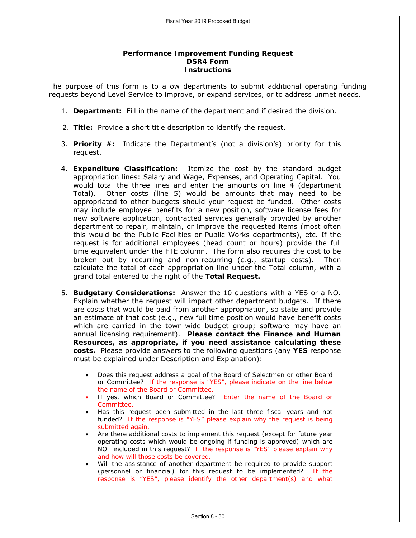### **Performance Improvement Funding Request DSR4 Form Instructions**

The purpose of this form is to allow departments to submit additional operating funding requests beyond Level Service to improve, or expand services, or to address unmet needs.

- 1. **Department:** Fill in the name of the department and if desired the division.
- 2. **Title:** Provide a short title description to identify the request.
- 3. **Priority #:** Indicate the Department's (not a division's) priority for this request.
- 4. **Expenditure Classification**: Itemize the cost by the standard budget appropriation lines: Salary and Wage, Expenses, and Operating Capital. You would total the three lines and enter the amounts on line 4 (department Total). Other costs (line 5) would be amounts that may need to be appropriated to other budgets should your request be funded. Other costs may include employee benefits for a new position, software license fees for new software application, contracted services generally provided by another department to repair, maintain, or improve the requested items (most often this would be the Public Facilities or Public Works departments), etc. If the request is for additional employees (head count or hours) provide the full time equivalent under the FTE column. The form also requires the cost to be broken out by recurring and non-recurring (e.g., startup costs). Then calculate the total of each appropriation line under the Total column, with a grand total entered to the right of the **Total Request.**
- 5. **Budgetary Considerations:** Answer the 10 questions with a YES or a NO. Explain whether the request will impact other department budgets. If there are costs that would be paid from another appropriation, so state and provide an estimate of that cost (e.g., new full time position would have benefit costs which are carried in the town-wide budget group; software may have an annual licensing requirement). **Please contact the Finance and Human Resources, as appropriate, if you need assistance calculating these costs.** Please provide answers to the following questions (any **YES** response must be explained under Description and Explanation):
	- *Does this request address a goal of the Board of Selectmen or other Board or Committee? If the response is "YES", please indicate on the line below the name of the Board or Committee.*
	- *If yes, which Board or Committee? Enter the name of the Board or Committee.*
	- *Has this request been submitted in the last three fiscal years and not funded? If the response is "YES" please explain why the request is being submitted again.*
	- *Are there additional costs to implement this request (except for future year operating costs which would be ongoing if funding is approved) which are NOT included in this request? If the response is "YES" please explain why and how will those costs be covered.*
	- *Will the assistance of another department be required to provide support (personnel or financial) for this request to be implemented? If the response is "YES", please identify the other department(s) and what*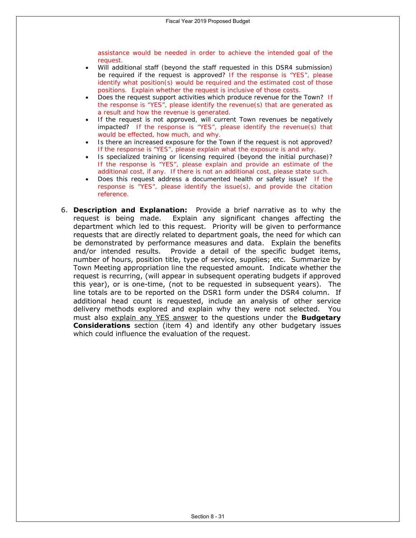*assistance would be needed in order to achieve the intended goal of the request.*

- *Will additional staff (beyond the staff requested in this DSR4 submission) be required if the request is approved? If the response is "YES", please identify what position(s) would be required and the estimated cost of those positions. Explain whether the request is inclusive of those costs.*
- *Does the request support activities which produce revenue for the Town? If the response is "YES", please identify the revenue(s) that are generated as a result and how the revenue is generated.*
- *If the request is not approved, will current Town revenues be negatively impacted? If the response is "YES", please identify the revenue(s) that would be effected, how much, and why.*
- *Is there an increased exposure for the Town if the request is not approved? If the response is "YES", please explain what the exposure is and why.*
- *Is specialized training or licensing required (beyond the initial purchase)? If the response is "YES", please explain and provide an estimate of the additional cost, if any. If there is not an additional cost, please state such.*
- *Does this request address a documented health or safety issue? If the response is "YES", please identify the issue(s), and provide the citation reference.*
- 6. **Description and Explanation:** Provide a brief narrative as to why the request is being made. Explain any significant changes affecting the department which led to this request. Priority will be given to performance requests that are directly related to department goals, the need for which can be demonstrated by performance measures and data. Explain the benefits and/or intended results. Provide a detail of the specific budget items, number of hours, position title, type of service, supplies; etc. Summarize by Town Meeting appropriation line the requested amount. Indicate whether the request is recurring, (will appear in subsequent operating budgets if approved this year), or is one-time, (not to be requested in subsequent years). The line totals are to be reported on the DSR1 form under the DSR4 column. If additional head count is requested, include an analysis of other service delivery methods explored and explain why they were not selected. You must also explain any YES answer to the questions under the **Budgetary Considerations** section (item 4) and identify any other budgetary issues which could influence the evaluation of the request.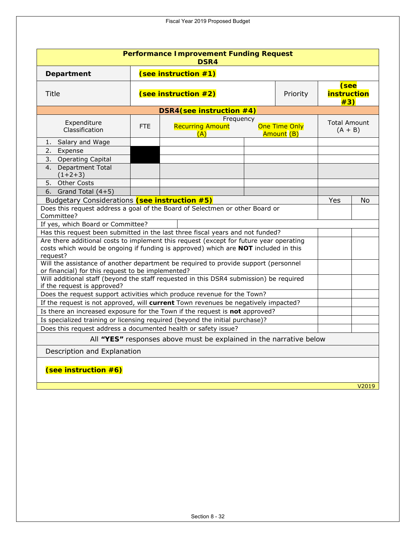| <b>Performance Improvement Funding Request</b><br>DSR4                                                                                                                                    |      |                                             |  |                             |                                   |       |  |
|-------------------------------------------------------------------------------------------------------------------------------------------------------------------------------------------|------|---------------------------------------------|--|-----------------------------|-----------------------------------|-------|--|
| (see instruction $#1$ )<br>Department                                                                                                                                                     |      |                                             |  |                             |                                   |       |  |
| Title                                                                                                                                                                                     |      | (see instruction #2)<br>Priority            |  |                             | (see<br><b>instruction</b><br>#3) |       |  |
| DSR4(see instruction #4)                                                                                                                                                                  |      |                                             |  |                             |                                   |       |  |
| Expenditure<br>Classification                                                                                                                                                             | FTE. | Frequency<br><b>Recurring Amount</b><br>(A) |  | One Time Only<br>Amount (B) | <b>Total Amount</b><br>$(A + B)$  |       |  |
| 1. Salary and Wage                                                                                                                                                                        |      |                                             |  |                             |                                   |       |  |
| 2. Expense                                                                                                                                                                                |      |                                             |  |                             |                                   |       |  |
| 3. Operating Capital<br>4. Department Total<br>$(1+2+3)$                                                                                                                                  |      |                                             |  |                             |                                   |       |  |
| 5. Other Costs                                                                                                                                                                            |      |                                             |  |                             |                                   |       |  |
| 6. Grand Total $(4+5)$                                                                                                                                                                    |      |                                             |  |                             |                                   |       |  |
| Budgetary Considerations (see instruction #5)                                                                                                                                             |      |                                             |  |                             | Yes                               | No    |  |
| Does this request address a goal of the Board of Selectmen or other Board or<br>Committee?                                                                                                |      |                                             |  |                             |                                   |       |  |
| If yes, which Board or Committee?                                                                                                                                                         |      |                                             |  |                             |                                   |       |  |
| Has this request been submitted in the last three fiscal years and not funded?                                                                                                            |      |                                             |  |                             |                                   |       |  |
| Are there additional costs to implement this request (except for future year operating<br>costs which would be ongoing if funding is approved) which are NOT included in this<br>request? |      |                                             |  |                             |                                   |       |  |
| Will the assistance of another department be required to provide support (personnel<br>or financial) for this request to be implemented?                                                  |      |                                             |  |                             |                                   |       |  |
| Will additional staff (beyond the staff requested in this DSR4 submission) be required<br>if the request is approved?                                                                     |      |                                             |  |                             |                                   |       |  |
| Does the request support activities which produce revenue for the Town?                                                                                                                   |      |                                             |  |                             |                                   |       |  |
| If the request is not approved, will current Town revenues be negatively impacted?                                                                                                        |      |                                             |  |                             |                                   |       |  |
| Is there an increased exposure for the Town if the request is not approved?                                                                                                               |      |                                             |  |                             |                                   |       |  |
| Is specialized training or licensing required (beyond the initial purchase)?                                                                                                              |      |                                             |  |                             |                                   |       |  |
| Does this request address a documented health or safety issue?                                                                                                                            |      |                                             |  |                             |                                   |       |  |
| All "YES" responses above must be explained in the narrative below                                                                                                                        |      |                                             |  |                             |                                   |       |  |
| Description and Explanation                                                                                                                                                               |      |                                             |  |                             |                                   |       |  |
| (see instruction #6)                                                                                                                                                                      |      |                                             |  |                             |                                   |       |  |
|                                                                                                                                                                                           |      |                                             |  |                             |                                   | V2019 |  |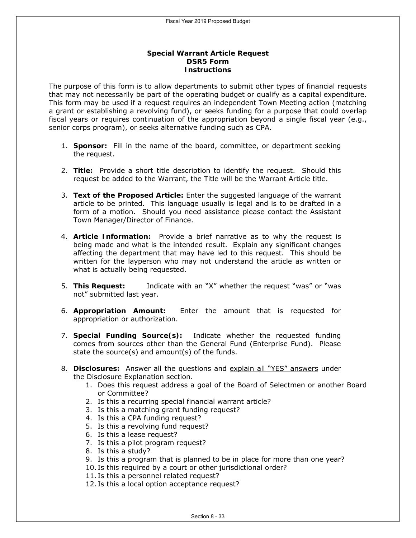### **Special Warrant Article Request DSR5 Form Instructions**

The purpose of this form is to allow departments to submit other types of financial requests that may not necessarily be part of the operating budget or qualify as a capital expenditure. This form may be used if a request requires an independent Town Meeting action (matching a grant or establishing a revolving fund), or seeks funding for a purpose that could overlap fiscal years or requires continuation of the appropriation beyond a single fiscal year (e.g., senior corps program), or seeks alternative funding such as CPA.

- 1. **Sponsor:** Fill in the name of the board, committee, or department seeking the request.
- 2. **Title:** Provide a short title description to identify the request. Should this request be added to the Warrant, the Title will be the Warrant Article title.
- 3. **Text of the Proposed Article:** Enter the suggested language of the warrant article to be printed. This language usually is legal and is to be drafted in a form of a motion. Should you need assistance please contact the Assistant Town Manager/Director of Finance.
- 4. **Article Information:** Provide a brief narrative as to why the request is being made and what is the intended result. Explain any significant changes affecting the department that may have led to this request. This should be written for the layperson who may not understand the article as written or what is actually being requested.
- 5. **This Request:** Indicate with an "X" whether the request "was" or "was not" submitted last year.
- 6. **Appropriation Amount:** Enter the amount that is requested for appropriation or authorization.
- 7. **Special Funding Source(s):** Indicate whether the requested funding comes from sources other than the General Fund (Enterprise Fund). Please state the source(s) and amount(s) of the funds.
- 8. **Disclosures:** Answer all the questions and explain all "YES" answers under the Disclosure Explanation section.
	- 1. Does this request address a goal of the Board of Selectmen or another Board or Committee?
	- 2. Is this a recurring special financial warrant article?
	- 3. Is this a matching grant funding request?
	- 4. Is this a CPA funding request?
	- 5. Is this a revolving fund request?
	- 6. Is this a lease request?
	- 7. Is this a pilot program request?
	- 8. Is this a study?
	- 9. Is this a program that is planned to be in place for more than one year?
	- 10. Is this required by a court or other jurisdictional order?
	- 11. Is this a personnel related request?
	- 12. Is this a local option acceptance request?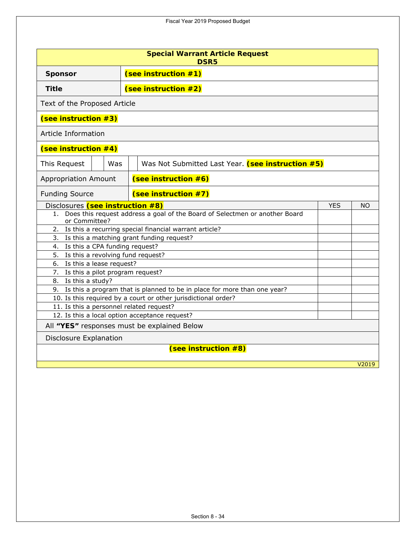| <b>Special Warrant Article Request</b><br><b>DSR5</b>      |                                                                |                                                                             |       |  |  |  |
|------------------------------------------------------------|----------------------------------------------------------------|-----------------------------------------------------------------------------|-------|--|--|--|
| (see instruction #1)<br><b>Sponsor</b>                     |                                                                |                                                                             |       |  |  |  |
| (see instruction #2)<br><b>Title</b>                       |                                                                |                                                                             |       |  |  |  |
| Text of the Proposed Article                               |                                                                |                                                                             |       |  |  |  |
| (see instruction #3)                                       |                                                                |                                                                             |       |  |  |  |
| Article Information                                        |                                                                |                                                                             |       |  |  |  |
| (see instruction #4)                                       |                                                                |                                                                             |       |  |  |  |
| This Request<br>Was                                        |                                                                | Was Not Submitted Last Year. (see instruction #5)                           |       |  |  |  |
| <b>Appropriation Amount</b>                                | (see instruction #6)                                           |                                                                             |       |  |  |  |
| <b>Funding Source</b>                                      | (see instruction #7)                                           |                                                                             |       |  |  |  |
| Disclosures (see instruction #8)                           |                                                                | <b>YES</b>                                                                  | NO.   |  |  |  |
| 1.<br>or Committee?                                        |                                                                | Does this request address a goal of the Board of Selectmen or another Board |       |  |  |  |
| 2.                                                         | Is this a recurring special financial warrant article?         |                                                                             |       |  |  |  |
|                                                            | 3. Is this a matching grant funding request?                   |                                                                             |       |  |  |  |
| Is this a CPA funding request?<br>4.                       |                                                                |                                                                             |       |  |  |  |
| 5.<br>Is this a revolving fund request?                    |                                                                |                                                                             |       |  |  |  |
| 6. Is this a lease request?                                |                                                                |                                                                             |       |  |  |  |
| 7. Is this a pilot program request?<br>8. Is this a study? |                                                                |                                                                             |       |  |  |  |
|                                                            |                                                                | 9. Is this a program that is planned to be in place for more than one year? |       |  |  |  |
|                                                            | 10. Is this required by a court or other jurisdictional order? |                                                                             |       |  |  |  |
| 11. Is this a personnel related request?                   |                                                                |                                                                             |       |  |  |  |
|                                                            | 12. Is this a local option acceptance request?                 |                                                                             |       |  |  |  |
| All "YES" responses must be explained Below                |                                                                |                                                                             |       |  |  |  |
| <b>Disclosure Explanation</b>                              |                                                                |                                                                             |       |  |  |  |
|                                                            |                                                                | (see instruction #8)                                                        |       |  |  |  |
|                                                            |                                                                |                                                                             | V2019 |  |  |  |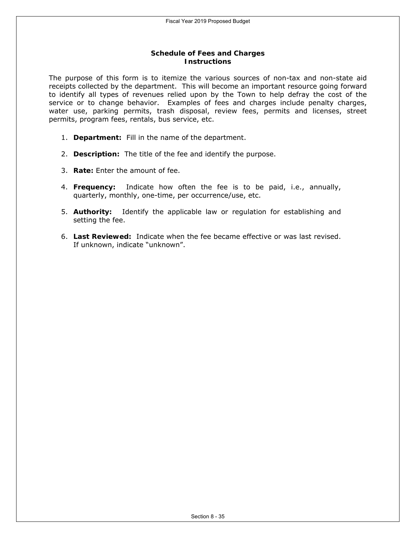### **Schedule of Fees and Charges Instructions**

The purpose of this form is to itemize the various sources of non-tax and non-state aid receipts collected by the department. This will become an important resource going forward to identify all types of revenues relied upon by the Town to help defray the cost of the service or to change behavior. Examples of fees and charges include penalty charges, water use, parking permits, trash disposal, review fees, permits and licenses, street permits, program fees, rentals, bus service, etc.

- 1. **Department:** Fill in the name of the department.
- 2. **Description:** The title of the fee and identify the purpose.
- 3. **Rate:** Enter the amount of fee.
- 4. **Frequency:** Indicate how often the fee is to be paid, i.e., annually, quarterly, monthly, one-time, per occurrence/use, etc.
- 5. **Authority:** Identify the applicable law or regulation for establishing and setting the fee.
- 6. **Last Reviewed:** Indicate when the fee became effective or was last revised. If unknown, indicate "unknown".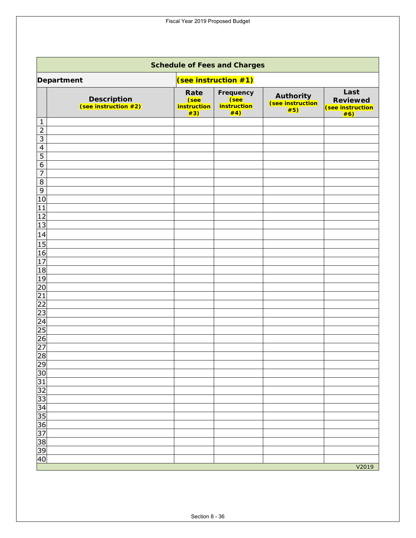Fiscal Year 2019 Proposed Budget

| <b>Schedule of Fees and Charges</b>        |                                           |                                                       |                                                         |                                                    |  |  |  |
|--------------------------------------------|-------------------------------------------|-------------------------------------------------------|---------------------------------------------------------|----------------------------------------------------|--|--|--|
| Department                                 |                                           | (see instruction #1)                                  |                                                         |                                                    |  |  |  |
| <b>Description</b><br>(see instruction #2) | Rate<br>(see<br><b>instruction</b><br>#3) | Frequency<br>(see<br><i><b>instruction</b></i><br>#4) | Authority<br><u>(see instruction)</u><br><del>#5)</del> | Last<br><b>Reviewed</b><br>(see instruction<br>#6) |  |  |  |
| 1<br>$\overline{2}$                        |                                           |                                                       |                                                         |                                                    |  |  |  |
| $\overline{3}$                             |                                           |                                                       |                                                         |                                                    |  |  |  |
| $\overline{4}$                             |                                           |                                                       |                                                         |                                                    |  |  |  |
| $\overline{5}$                             |                                           |                                                       |                                                         |                                                    |  |  |  |
| $\overline{6}$                             |                                           |                                                       |                                                         |                                                    |  |  |  |
| $\overline{7}$                             |                                           |                                                       |                                                         |                                                    |  |  |  |
| $\overline{\infty}$                        |                                           |                                                       |                                                         |                                                    |  |  |  |
| $\overline{9}$<br>10                       |                                           |                                                       |                                                         |                                                    |  |  |  |
| 11                                         |                                           |                                                       |                                                         |                                                    |  |  |  |
| 12                                         |                                           |                                                       |                                                         |                                                    |  |  |  |
| 13                                         |                                           |                                                       |                                                         |                                                    |  |  |  |
| 14                                         |                                           |                                                       |                                                         |                                                    |  |  |  |
| 15                                         |                                           |                                                       |                                                         |                                                    |  |  |  |
| 16                                         |                                           |                                                       |                                                         |                                                    |  |  |  |
| $\overline{17}$                            |                                           |                                                       |                                                         |                                                    |  |  |  |
| 18                                         |                                           |                                                       |                                                         |                                                    |  |  |  |
| 19                                         |                                           |                                                       |                                                         |                                                    |  |  |  |
| 20<br>$\overline{21}$                      |                                           |                                                       |                                                         |                                                    |  |  |  |
| $\overline{22}$                            |                                           |                                                       |                                                         |                                                    |  |  |  |
| $\overline{23}$                            |                                           |                                                       |                                                         |                                                    |  |  |  |
| 24                                         |                                           |                                                       |                                                         |                                                    |  |  |  |
| 25                                         |                                           |                                                       |                                                         |                                                    |  |  |  |
| $\overline{26}$                            |                                           |                                                       |                                                         |                                                    |  |  |  |
| $\overline{27}$                            |                                           |                                                       |                                                         |                                                    |  |  |  |
| 28                                         |                                           |                                                       |                                                         |                                                    |  |  |  |
| $\overline{29}$                            |                                           |                                                       |                                                         |                                                    |  |  |  |
| $\frac{30}{31}$<br>$\frac{32}{33}$         |                                           |                                                       |                                                         |                                                    |  |  |  |
|                                            |                                           |                                                       |                                                         |                                                    |  |  |  |
|                                            |                                           |                                                       |                                                         |                                                    |  |  |  |
|                                            |                                           |                                                       |                                                         |                                                    |  |  |  |
| $\frac{34}{35}$<br>$\frac{35}{37}$         |                                           |                                                       |                                                         |                                                    |  |  |  |
|                                            |                                           |                                                       |                                                         |                                                    |  |  |  |
|                                            |                                           |                                                       |                                                         |                                                    |  |  |  |
|                                            |                                           |                                                       |                                                         |                                                    |  |  |  |
| $\frac{38}{6}$                             |                                           |                                                       |                                                         |                                                    |  |  |  |
|                                            |                                           |                                                       |                                                         | V2019                                              |  |  |  |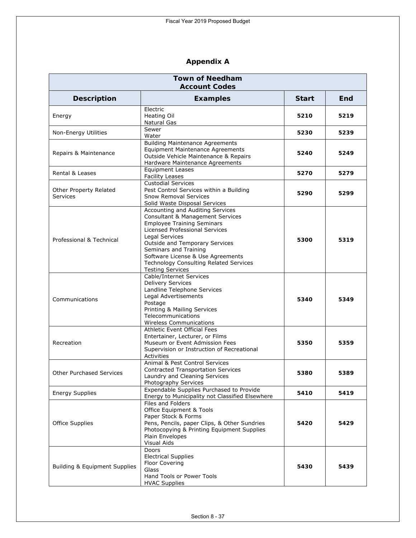# **Appendix A**

| <b>Town of Needham</b><br><b>Account Codes</b> |                                                                                                                                                                                                                                                                                                                                                      |              |      |  |
|------------------------------------------------|------------------------------------------------------------------------------------------------------------------------------------------------------------------------------------------------------------------------------------------------------------------------------------------------------------------------------------------------------|--------------|------|--|
| <b>Description</b>                             | <b>Examples</b>                                                                                                                                                                                                                                                                                                                                      | <b>Start</b> | End  |  |
| Energy                                         | Electric<br>Heating Oil<br><b>Natural Gas</b>                                                                                                                                                                                                                                                                                                        | 5210         | 5219 |  |
| Non-Energy Utilities                           | Sewer<br>Water                                                                                                                                                                                                                                                                                                                                       | 5230         | 5239 |  |
| Repairs & Maintenance                          | <b>Building Maintenance Agreements</b><br><b>Equipment Maintenance Agreements</b><br>Outside Vehicle Maintenance & Repairs<br>Hardware Maintenance Agreements                                                                                                                                                                                        | 5240         | 5249 |  |
| <b>Rental &amp; Leases</b>                     | <b>Equipment Leases</b><br><b>Facility Leases</b>                                                                                                                                                                                                                                                                                                    | 5270         | 5279 |  |
| Other Property Related<br><b>Services</b>      | <b>Custodial Services</b><br>Pest Control Services within a Building<br><b>Snow Removal Services</b><br>Solid Waste Disposal Services                                                                                                                                                                                                                | 5290         | 5299 |  |
| Professional & Technical                       | Accounting and Auditing Services<br><b>Consultant &amp; Management Services</b><br><b>Employee Training Seminars</b><br>Licensed Professional Services<br>Legal Services<br><b>Outside and Temporary Services</b><br>Seminars and Training<br>Software License & Use Agreements<br>Technology Consulting Related Services<br><b>Testing Services</b> | 5300         | 5319 |  |
| Communications                                 | Cable/Internet Services<br><b>Delivery Services</b><br>Landline Telephone Services<br>Legal Advertisements<br>Postage<br>Printing & Mailing Services<br>Telecommunications<br>Wireless Communications                                                                                                                                                | 5340         | 5349 |  |
| Recreation                                     | <b>Athletic Event Official Fees</b><br>Entertainer, Lecturer, or Films<br>Museum or Event Admission Fees<br>Supervision or Instruction of Recreational<br>Activities                                                                                                                                                                                 | 5350         | 5359 |  |
| <b>Other Purchased Services</b>                | Animal & Pest Control Services<br><b>Contracted Transportation Services</b><br>Laundry and Cleaning Services<br>Photography Services                                                                                                                                                                                                                 | 5380         | 5389 |  |
| <b>Energy Supplies</b>                         | Expendable Supplies Purchased to Provide<br>Energy to Municipality not Classified Elsewhere                                                                                                                                                                                                                                                          | 5410         | 5419 |  |
| <b>Office Supplies</b>                         | Files and Folders<br>Office Equipment & Tools<br>Paper Stock & Forms<br>Pens, Pencils, paper Clips, & Other Sundries<br>Photocopying & Printing Equipment Supplies<br>Plain Envelopes<br>Visual Aids                                                                                                                                                 | 5420         | 5429 |  |
| <b>Building &amp; Equipment Supplies</b>       | Doors<br><b>Electrical Supplies</b><br>Floor Covering<br>Glass<br><b>Hand Tools or Power Tools</b><br><b>HVAC Supplies</b>                                                                                                                                                                                                                           | 5430         | 5439 |  |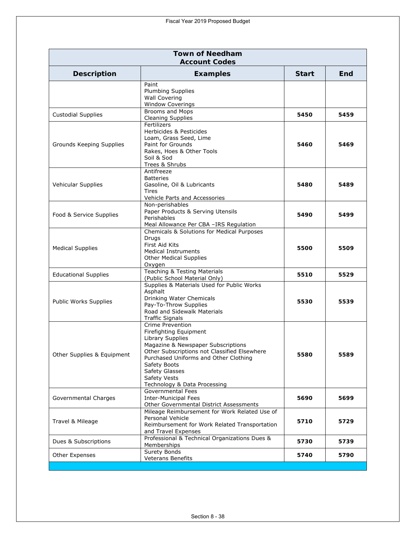| <b>Town of Needham</b><br><b>Account Codes</b> |                                                                                                                                                                                                                                                                                 |              |      |  |
|------------------------------------------------|---------------------------------------------------------------------------------------------------------------------------------------------------------------------------------------------------------------------------------------------------------------------------------|--------------|------|--|
| <b>Description</b>                             | <b>Examples</b>                                                                                                                                                                                                                                                                 | <b>Start</b> | End  |  |
|                                                | Paint<br><b>Plumbing Supplies</b><br><b>Wall Covering</b><br><b>Window Coverings</b>                                                                                                                                                                                            |              |      |  |
| <b>Custodial Supplies</b>                      | Brooms and Mops<br><b>Cleaning Supplies</b>                                                                                                                                                                                                                                     | 5450         | 5459 |  |
| Grounds Keeping Supplies                       | Fertilizers<br>Herbicides & Pesticides<br>Loam, Grass Seed, Lime<br>Paint for Grounds<br>Rakes, Hoes & Other Tools<br>Soil & Sod<br>Trees & Shrubs                                                                                                                              | 5460         | 5469 |  |
| <b>Vehicular Supplies</b>                      | Antifreeze<br><b>Batteries</b><br>Gasoline, Oil & Lubricants<br>Tires<br>Vehicle Parts and Accessories                                                                                                                                                                          | 5480         | 5489 |  |
| Food & Service Supplies                        | Non-perishables<br>Paper Products & Serving Utensils<br>Perishables<br>Meal Allowance Per CBA -IRS Regulation                                                                                                                                                                   | 5490         | 5499 |  |
| <b>Medical Supplies</b>                        | Chemicals & Solutions for Medical Purposes<br>Drugs<br>First Aid Kits<br><b>Medical Instruments</b><br><b>Other Medical Supplies</b><br>Oxygen                                                                                                                                  | 5500         | 5509 |  |
| <b>Educational Supplies</b>                    | Teaching & Testing Materials<br>(Public School Material Only)                                                                                                                                                                                                                   | 5510         | 5529 |  |
| Public Works Supplies                          | Supplies & Materials Used for Public Works<br>Asphalt<br>Drinking Water Chemicals<br>Pay-To-Throw Supplies<br>Road and Sidewalk Materials<br><b>Traffic Signals</b>                                                                                                             | 5530         | 5539 |  |
| Other Supplies & Equipment                     | Crime Prevention<br>Firefighting Equipment<br>Library Supplies<br>Magazine & Newspaper Subscriptions<br>Other Subscriptions not Classified Elsewhere<br>Purchased Uniforms and Other Clothing<br>Safety Boots<br>Safety Glasses<br>Safety Vests<br>Technology & Data Processing | 5580         | 5589 |  |
| Governmental Charges                           | Governmental Fees<br><b>Inter-Municipal Fees</b><br>Other Governmental District Assessments                                                                                                                                                                                     | 5690         | 5699 |  |
| Travel & Mileage                               | Mileage Reimbursement for Work Related Use of<br>Personal Vehicle<br>Reimbursement for Work Related Transportation<br>and Travel Expenses                                                                                                                                       | 5710         | 5729 |  |
| Dues & Subscriptions                           | Professional & Technical Organizations Dues &<br>Memberships                                                                                                                                                                                                                    | 5730         | 5739 |  |
| Other Expenses                                 | Surety Bonds<br>Veterans Benefits                                                                                                                                                                                                                                               | 5740         | 5790 |  |